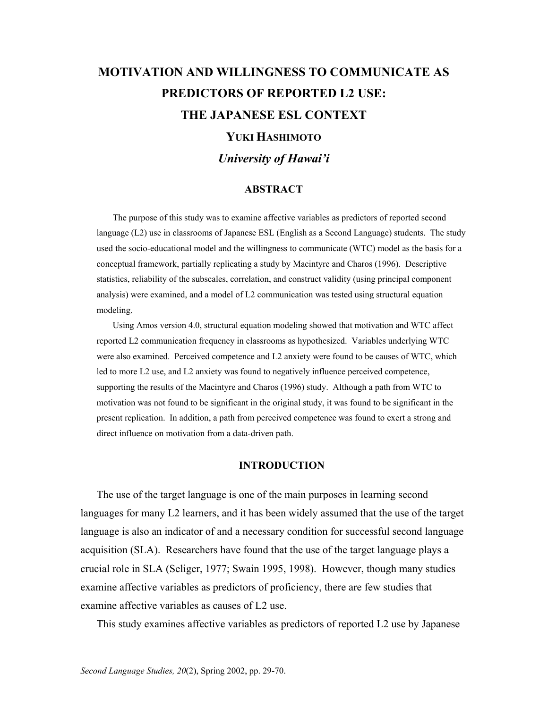# **MOTIVATION AND WILLINGNESS TO COMMUNICATE AS PREDICTORS OF REPORTED L2 USE: THE JAPANESE ESL CONTEXT YUKI HASHIMOTO** *University of Hawai'i*

#### **ABSTRACT**

 The purpose of this study was to examine affective variables as predictors of reported second language (L2) use in classrooms of Japanese ESL (English as a Second Language) students. The study used the socio-educational model and the willingness to communicate (WTC) model as the basis for a conceptual framework, partially replicating a study by Macintyre and Charos (1996). Descriptive statistics, reliability of the subscales, correlation, and construct validity (using principal component analysis) were examined, and a model of L2 communication was tested using structural equation modeling.

 Using Amos version 4.0, structural equation modeling showed that motivation and WTC affect reported L2 communication frequency in classrooms as hypothesized. Variables underlying WTC were also examined. Perceived competence and L2 anxiety were found to be causes of WTC, which led to more L2 use, and L2 anxiety was found to negatively influence perceived competence, supporting the results of the Macintyre and Charos (1996) study. Although a path from WTC to motivation was not found to be significant in the original study, it was found to be significant in the present replication. In addition, a path from perceived competence was found to exert a strong and direct influence on motivation from a data-driven path.

#### **INTRODUCTION**

 The use of the target language is one of the main purposes in learning second languages for many L2 learners, and it has been widely assumed that the use of the target language is also an indicator of and a necessary condition for successful second language acquisition (SLA). Researchers have found that the use of the target language plays a crucial role in SLA (Seliger, 1977; Swain 1995, 1998). However, though many studies examine affective variables as predictors of proficiency, there are few studies that examine affective variables as causes of L2 use.

This study examines affective variables as predictors of reported L2 use by Japanese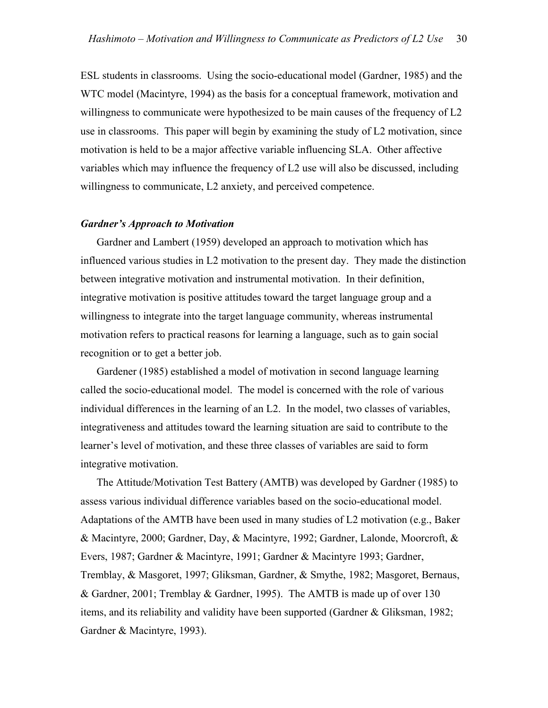ESL students in classrooms. Using the socio-educational model (Gardner, 1985) and the WTC model (Macintyre, 1994) as the basis for a conceptual framework, motivation and willingness to communicate were hypothesized to be main causes of the frequency of L2 use in classrooms. This paper will begin by examining the study of L2 motivation, since motivation is held to be a major affective variable influencing SLA. Other affective variables which may influence the frequency of L2 use will also be discussed, including willingness to communicate, L2 anxiety, and perceived competence.

#### *Gardner's Approach to Motivation*

 Gardner and Lambert (1959) developed an approach to motivation which has influenced various studies in L2 motivation to the present day. They made the distinction between integrative motivation and instrumental motivation. In their definition, integrative motivation is positive attitudes toward the target language group and a willingness to integrate into the target language community, whereas instrumental motivation refers to practical reasons for learning a language, such as to gain social recognition or to get a better job.

 Gardener (1985) established a model of motivation in second language learning called the socio-educational model. The model is concerned with the role of various individual differences in the learning of an L2. In the model, two classes of variables, integrativeness and attitudes toward the learning situation are said to contribute to the learner's level of motivation, and these three classes of variables are said to form integrative motivation.

 The Attitude/Motivation Test Battery (AMTB) was developed by Gardner (1985) to assess various individual difference variables based on the socio-educational model. Adaptations of the AMTB have been used in many studies of L2 motivation (e.g., Baker & Macintyre, 2000; Gardner, Day, & Macintyre, 1992; Gardner, Lalonde, Moorcroft, & Evers, 1987; Gardner & Macintyre, 1991; Gardner & Macintyre 1993; Gardner, Tremblay, & Masgoret, 1997; Gliksman, Gardner, & Smythe, 1982; Masgoret, Bernaus, & Gardner, 2001; Tremblay & Gardner, 1995). The AMTB is made up of over 130 items, and its reliability and validity have been supported (Gardner & Gliksman, 1982; Gardner & Macintyre, 1993).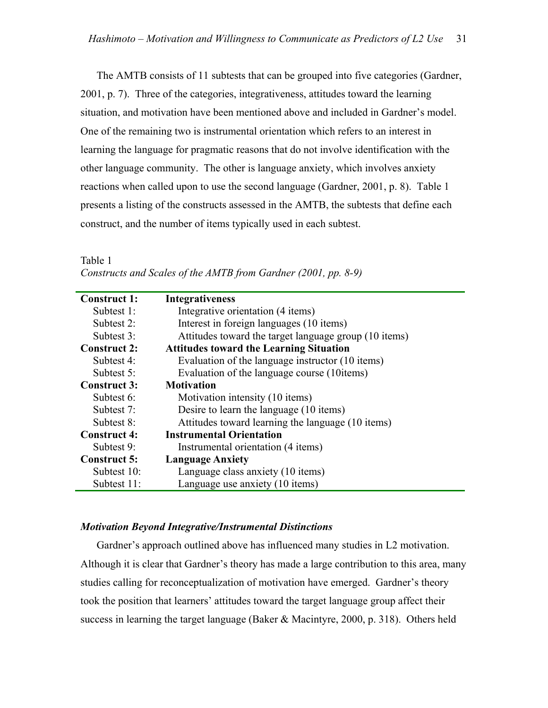The AMTB consists of 11 subtests that can be grouped into five categories (Gardner, 2001, p. 7). Three of the categories, integrativeness, attitudes toward the learning situation, and motivation have been mentioned above and included in Gardner's model. One of the remaining two is instrumental orientation which refers to an interest in learning the language for pragmatic reasons that do not involve identification with the other language community. The other is language anxiety, which involves anxiety reactions when called upon to use the second language (Gardner, 2001, p. 8). Table 1 presents a listing of the constructs assessed in the AMTB, the subtests that define each construct, and the number of items typically used in each subtest.

#### Table 1

| Constructs and Scales of the AMTB from Gardner (2001, pp. 8-9) |  |
|----------------------------------------------------------------|--|
|                                                                |  |

| <b>Construct 1:</b> | <b>Integrativeness</b>                                |
|---------------------|-------------------------------------------------------|
| Subtest 1:          | Integrative orientation (4 items)                     |
| Subtest 2:          | Interest in foreign languages (10 items)              |
| Subtest 3:          | Attitudes toward the target language group (10 items) |
| <b>Construct 2:</b> | <b>Attitudes toward the Learning Situation</b>        |
| Subtest 4:          | Evaluation of the language instructor (10 items)      |
| Subtest 5:          | Evaluation of the language course (10 tems)           |
| <b>Construct 3:</b> | <b>Motivation</b>                                     |
| Subtest 6:          | Motivation intensity (10 items)                       |
| Subtest 7:          | Desire to learn the language (10 items)               |
| Subtest 8:          | Attitudes toward learning the language (10 items)     |
| <b>Construct 4:</b> | <b>Instrumental Orientation</b>                       |
| Subtest 9:          | Instrumental orientation (4 items)                    |
| <b>Construct 5:</b> | <b>Language Anxiety</b>                               |
| Subtest $10$ :      | Language class anxiety (10 items)                     |
| Subtest 11:         | Language use anxiety (10 items)                       |

#### *Motivation Beyond Integrative/Instrumental Distinctions*

 Gardner's approach outlined above has influenced many studies in L2 motivation. Although it is clear that Gardner's theory has made a large contribution to this area, many studies calling for reconceptualization of motivation have emerged. Gardner's theory took the position that learners' attitudes toward the target language group affect their success in learning the target language (Baker & Macintyre, 2000, p. 318). Others held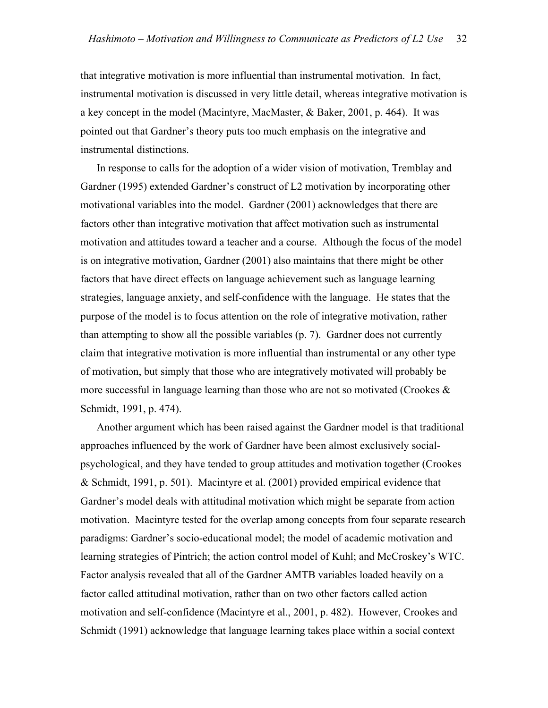that integrative motivation is more influential than instrumental motivation. In fact, instrumental motivation is discussed in very little detail, whereas integrative motivation is a key concept in the model (Macintyre, MacMaster, & Baker, 2001, p. 464). It was pointed out that Gardner's theory puts too much emphasis on the integrative and instrumental distinctions.

 In response to calls for the adoption of a wider vision of motivation, Tremblay and Gardner (1995) extended Gardner's construct of L2 motivation by incorporating other motivational variables into the model. Gardner (2001) acknowledges that there are factors other than integrative motivation that affect motivation such as instrumental motivation and attitudes toward a teacher and a course. Although the focus of the model is on integrative motivation, Gardner (2001) also maintains that there might be other factors that have direct effects on language achievement such as language learning strategies, language anxiety, and self-confidence with the language. He states that the purpose of the model is to focus attention on the role of integrative motivation, rather than attempting to show all the possible variables (p. 7). Gardner does not currently claim that integrative motivation is more influential than instrumental or any other type of motivation, but simply that those who are integratively motivated will probably be more successful in language learning than those who are not so motivated (Crookes  $\&$ Schmidt, 1991, p. 474).

 Another argument which has been raised against the Gardner model is that traditional approaches influenced by the work of Gardner have been almost exclusively socialpsychological, and they have tended to group attitudes and motivation together (Crookes & Schmidt, 1991, p. 501). Macintyre et al. (2001) provided empirical evidence that Gardner's model deals with attitudinal motivation which might be separate from action motivation. Macintyre tested for the overlap among concepts from four separate research paradigms: Gardner's socio-educational model; the model of academic motivation and learning strategies of Pintrich; the action control model of Kuhl; and McCroskey's WTC. Factor analysis revealed that all of the Gardner AMTB variables loaded heavily on a factor called attitudinal motivation, rather than on two other factors called action motivation and self-confidence (Macintyre et al., 2001, p. 482). However, Crookes and Schmidt (1991) acknowledge that language learning takes place within a social context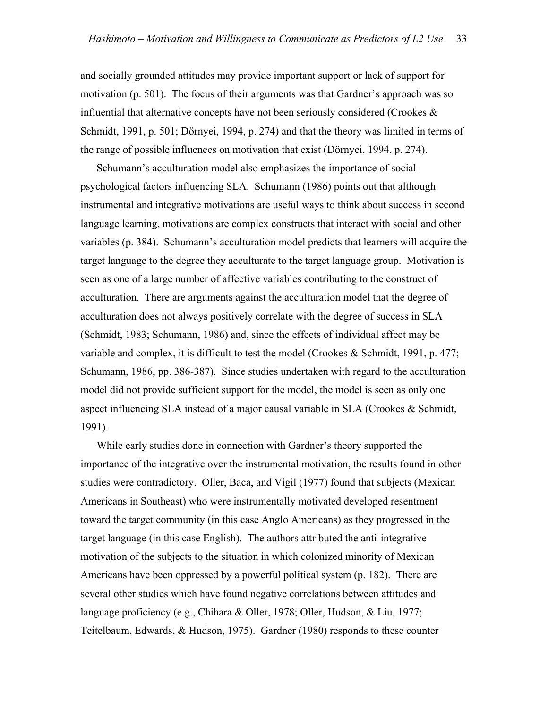and socially grounded attitudes may provide important support or lack of support for motivation (p. 501). The focus of their arguments was that Gardner's approach was so influential that alternative concepts have not been seriously considered (Crookes & Schmidt, 1991, p. 501; Dörnyei, 1994, p. 274) and that the theory was limited in terms of the range of possible influences on motivation that exist (Dörnyei, 1994, p. 274).

 Schumann's acculturation model also emphasizes the importance of socialpsychological factors influencing SLA. Schumann (1986) points out that although instrumental and integrative motivations are useful ways to think about success in second language learning, motivations are complex constructs that interact with social and other variables (p. 384). Schumann's acculturation model predicts that learners will acquire the target language to the degree they acculturate to the target language group. Motivation is seen as one of a large number of affective variables contributing to the construct of acculturation. There are arguments against the acculturation model that the degree of acculturation does not always positively correlate with the degree of success in SLA (Schmidt, 1983; Schumann, 1986) and, since the effects of individual affect may be variable and complex, it is difficult to test the model (Crookes & Schmidt, 1991, p. 477; Schumann, 1986, pp. 386-387). Since studies undertaken with regard to the acculturation model did not provide sufficient support for the model, the model is seen as only one aspect influencing SLA instead of a major causal variable in SLA (Crookes & Schmidt, 1991).

 While early studies done in connection with Gardner's theory supported the importance of the integrative over the instrumental motivation, the results found in other studies were contradictory. Oller, Baca, and Vigil (1977) found that subjects (Mexican Americans in Southeast) who were instrumentally motivated developed resentment toward the target community (in this case Anglo Americans) as they progressed in the target language (in this case English). The authors attributed the anti-integrative motivation of the subjects to the situation in which colonized minority of Mexican Americans have been oppressed by a powerful political system (p. 182). There are several other studies which have found negative correlations between attitudes and language proficiency (e.g., Chihara & Oller, 1978; Oller, Hudson, & Liu, 1977; Teitelbaum, Edwards, & Hudson, 1975). Gardner (1980) responds to these counter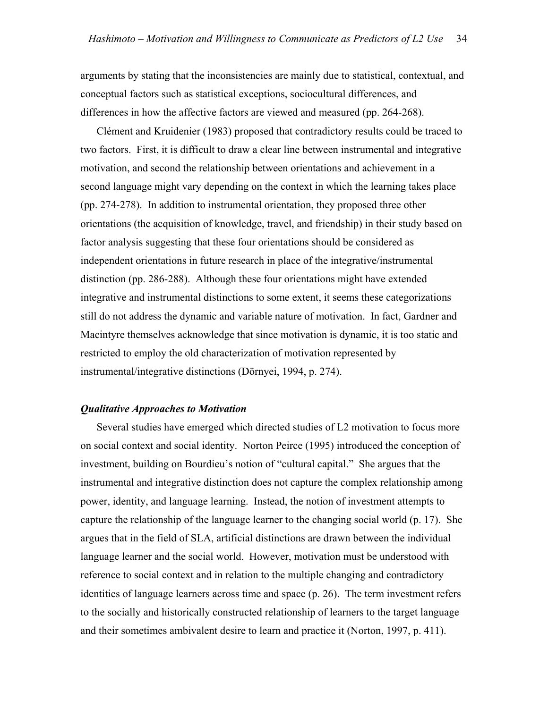arguments by stating that the inconsistencies are mainly due to statistical, contextual, and conceptual factors such as statistical exceptions, sociocultural differences, and differences in how the affective factors are viewed and measured (pp. 264-268).

 Clément and Kruidenier (1983) proposed that contradictory results could be traced to two factors. First, it is difficult to draw a clear line between instrumental and integrative motivation, and second the relationship between orientations and achievement in a second language might vary depending on the context in which the learning takes place (pp. 274-278). In addition to instrumental orientation, they proposed three other orientations (the acquisition of knowledge, travel, and friendship) in their study based on factor analysis suggesting that these four orientations should be considered as independent orientations in future research in place of the integrative/instrumental distinction (pp. 286-288). Although these four orientations might have extended integrative and instrumental distinctions to some extent, it seems these categorizations still do not address the dynamic and variable nature of motivation. In fact, Gardner and Macintyre themselves acknowledge that since motivation is dynamic, it is too static and restricted to employ the old characterization of motivation represented by instrumental/integrative distinctions (Dörnyei, 1994, p. 274).

#### *Qualitative Approaches to Motivation*

 Several studies have emerged which directed studies of L2 motivation to focus more on social context and social identity. Norton Peirce (1995) introduced the conception of investment, building on Bourdieu's notion of "cultural capital." She argues that the instrumental and integrative distinction does not capture the complex relationship among power, identity, and language learning. Instead, the notion of investment attempts to capture the relationship of the language learner to the changing social world (p. 17). She argues that in the field of SLA, artificial distinctions are drawn between the individual language learner and the social world. However, motivation must be understood with reference to social context and in relation to the multiple changing and contradictory identities of language learners across time and space (p. 26). The term investment refers to the socially and historically constructed relationship of learners to the target language and their sometimes ambivalent desire to learn and practice it (Norton, 1997, p. 411).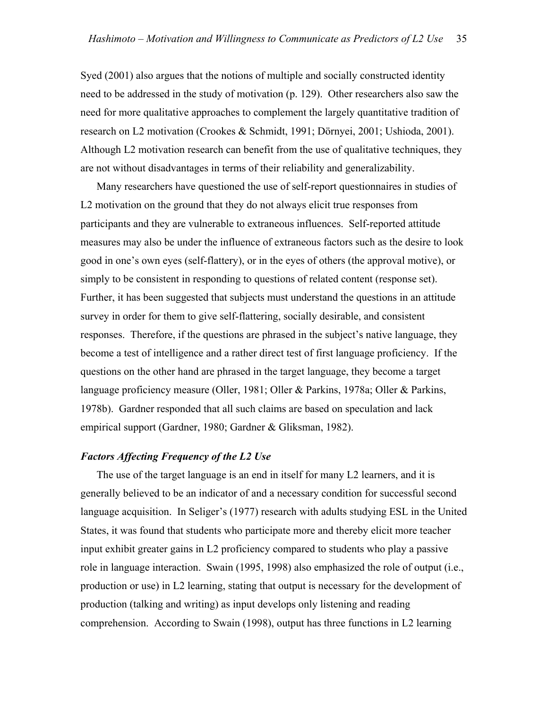Syed (2001) also argues that the notions of multiple and socially constructed identity need to be addressed in the study of motivation (p. 129). Other researchers also saw the need for more qualitative approaches to complement the largely quantitative tradition of research on L2 motivation (Crookes & Schmidt, 1991; Dörnyei, 2001; Ushioda, 2001). Although L2 motivation research can benefit from the use of qualitative techniques, they are not without disadvantages in terms of their reliability and generalizability.

 Many researchers have questioned the use of self-report questionnaires in studies of L2 motivation on the ground that they do not always elicit true responses from participants and they are vulnerable to extraneous influences. Self-reported attitude measures may also be under the influence of extraneous factors such as the desire to look good in one's own eyes (self-flattery), or in the eyes of others (the approval motive), or simply to be consistent in responding to questions of related content (response set). Further, it has been suggested that subjects must understand the questions in an attitude survey in order for them to give self-flattering, socially desirable, and consistent responses. Therefore, if the questions are phrased in the subject's native language, they become a test of intelligence and a rather direct test of first language proficiency. If the questions on the other hand are phrased in the target language, they become a target language proficiency measure (Oller, 1981; Oller & Parkins, 1978a; Oller & Parkins, 1978b). Gardner responded that all such claims are based on speculation and lack empirical support (Gardner, 1980; Gardner & Gliksman, 1982).

#### *Factors Affecting Frequency of the L2 Use*

 The use of the target language is an end in itself for many L2 learners, and it is generally believed to be an indicator of and a necessary condition for successful second language acquisition. In Seliger's (1977) research with adults studying ESL in the United States, it was found that students who participate more and thereby elicit more teacher input exhibit greater gains in L2 proficiency compared to students who play a passive role in language interaction. Swain (1995, 1998) also emphasized the role of output (i.e., production or use) in L2 learning, stating that output is necessary for the development of production (talking and writing) as input develops only listening and reading comprehension. According to Swain (1998), output has three functions in L2 learning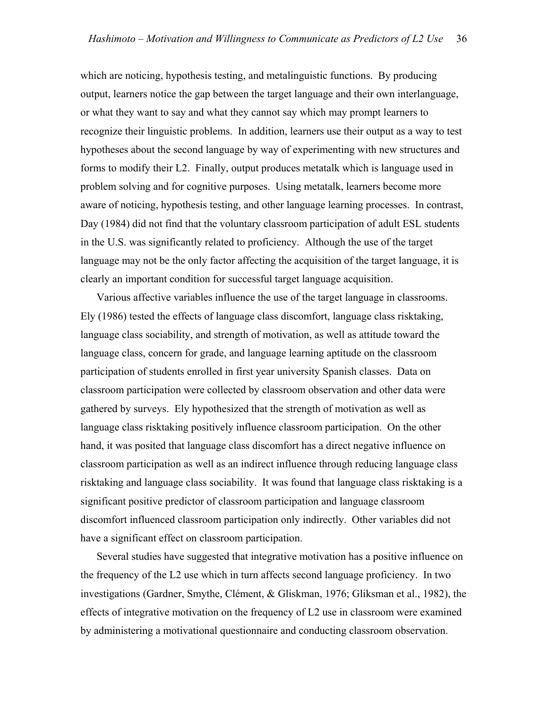which are noticing, hypothesis testing, and metalinguistic functions. By producing output, learners notice the gap between the target language and their own interlanguage, or what they want to say and what they cannot say which may prompt learners to recognize their linguistic problems. In addition, learners use their output as a way to test hypotheses about the second language by way of experimenting with new structures and forms to modify their L2. Finally, output produces metatalk which is language used in problem solving and for cognitive purposes. Using metatalk, learners become more aware of noticing, hypothesis testing, and other language learning processes. In contrast, Day (1984) did not find that the voluntary classroom participation of adult ESL students in the U.S. was significantly related to proficiency. Although the use of the target language may not be the only factor affecting the acquisition of the target language, it is clearly an important condition for successful target language acquisition.

 Various affective variables influence the use of the target language in classrooms. Ely (1986) tested the effects of language class discomfort, language class risktaking, language class sociability, and strength of motivation, as well as attitude toward the language class, concern for grade, and language learning aptitude on the classroom participation of students enrolled in first year university Spanish classes. Data on classroom participation were collected by classroom observation and other data were gathered by surveys. Ely hypothesized that the strength of motivation as well as language class risktaking positively influence classroom participation. On the other hand, it was posited that language class discomfort has a direct negative influence on classroom participation as well as an indirect influence through reducing language class risktaking and language class sociability. It was found that language class risktaking is a significant positive predictor of classroom participation and language classroom discomfort influenced classroom participation only indirectly. Other variables did not have a significant effect on classroom participation.

 Several studies have suggested that integrative motivation has a positive influence on the frequency of the L2 use which in turn affects second language proficiency. In two investigations (Gardner, Smythe, Clément, & Gliskman, 1976; Gliksman et al., 1982), the effects of integrative motivation on the frequency of L2 use in classroom were examined by administering a motivational questionnaire and conducting classroom observation.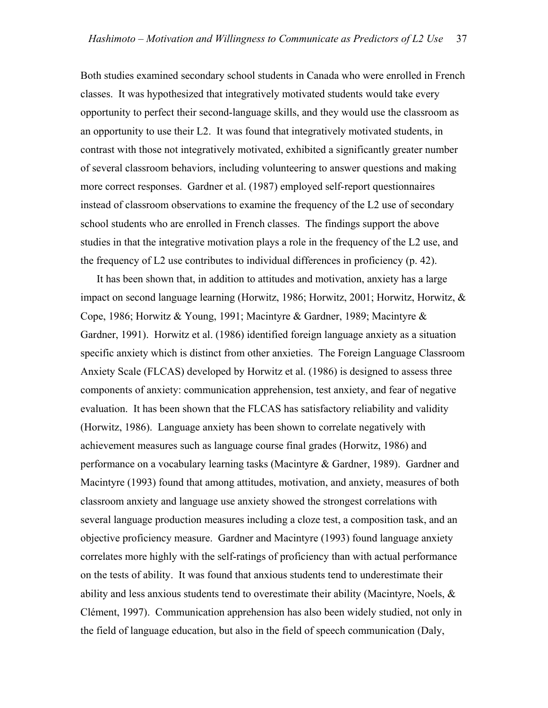Both studies examined secondary school students in Canada who were enrolled in French classes. It was hypothesized that integratively motivated students would take every opportunity to perfect their second-language skills, and they would use the classroom as an opportunity to use their L2. It was found that integratively motivated students, in contrast with those not integratively motivated, exhibited a significantly greater number of several classroom behaviors, including volunteering to answer questions and making more correct responses. Gardner et al. (1987) employed self-report questionnaires instead of classroom observations to examine the frequency of the L2 use of secondary school students who are enrolled in French classes. The findings support the above studies in that the integrative motivation plays a role in the frequency of the L2 use, and the frequency of L2 use contributes to individual differences in proficiency (p. 42).

 It has been shown that, in addition to attitudes and motivation, anxiety has a large impact on second language learning (Horwitz, 1986; Horwitz, 2001; Horwitz, Horwitz, & Cope, 1986; Horwitz & Young, 1991; Macintyre & Gardner, 1989; Macintyre & Gardner, 1991). Horwitz et al. (1986) identified foreign language anxiety as a situation specific anxiety which is distinct from other anxieties. The Foreign Language Classroom Anxiety Scale (FLCAS) developed by Horwitz et al. (1986) is designed to assess three components of anxiety: communication apprehension, test anxiety, and fear of negative evaluation. It has been shown that the FLCAS has satisfactory reliability and validity (Horwitz, 1986). Language anxiety has been shown to correlate negatively with achievement measures such as language course final grades (Horwitz, 1986) and performance on a vocabulary learning tasks (Macintyre & Gardner, 1989). Gardner and Macintyre (1993) found that among attitudes, motivation, and anxiety, measures of both classroom anxiety and language use anxiety showed the strongest correlations with several language production measures including a cloze test, a composition task, and an objective proficiency measure. Gardner and Macintyre (1993) found language anxiety correlates more highly with the self-ratings of proficiency than with actual performance on the tests of ability. It was found that anxious students tend to underestimate their ability and less anxious students tend to overestimate their ability (Macintyre, Noels,  $\&$ Clément, 1997). Communication apprehension has also been widely studied, not only in the field of language education, but also in the field of speech communication (Daly,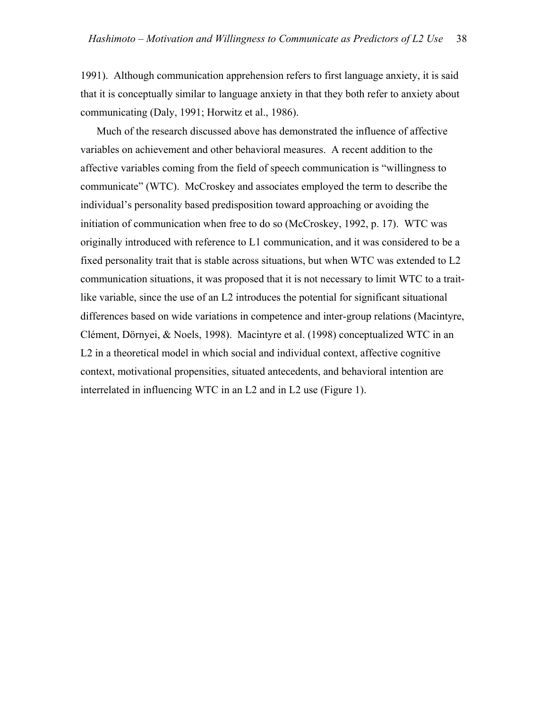1991). Although communication apprehension refers to first language anxiety, it is said that it is conceptually similar to language anxiety in that they both refer to anxiety about communicating (Daly, 1991; Horwitz et al., 1986).

 Much of the research discussed above has demonstrated the influence of affective variables on achievement and other behavioral measures. A recent addition to the affective variables coming from the field of speech communication is "willingness to communicate" (WTC). McCroskey and associates employed the term to describe the individual's personality based predisposition toward approaching or avoiding the initiation of communication when free to do so (McCroskey, 1992, p. 17). WTC was originally introduced with reference to L1 communication, and it was considered to be a fixed personality trait that is stable across situations, but when WTC was extended to L2 communication situations, it was proposed that it is not necessary to limit WTC to a traitlike variable, since the use of an L2 introduces the potential for significant situational differences based on wide variations in competence and inter-group relations (Macintyre, Clément, Dörnyei, & Noels, 1998). Macintyre et al. (1998) conceptualized WTC in an L2 in a theoretical model in which social and individual context, affective cognitive context, motivational propensities, situated antecedents, and behavioral intention are interrelated in influencing WTC in an L2 and in L2 use (Figure 1).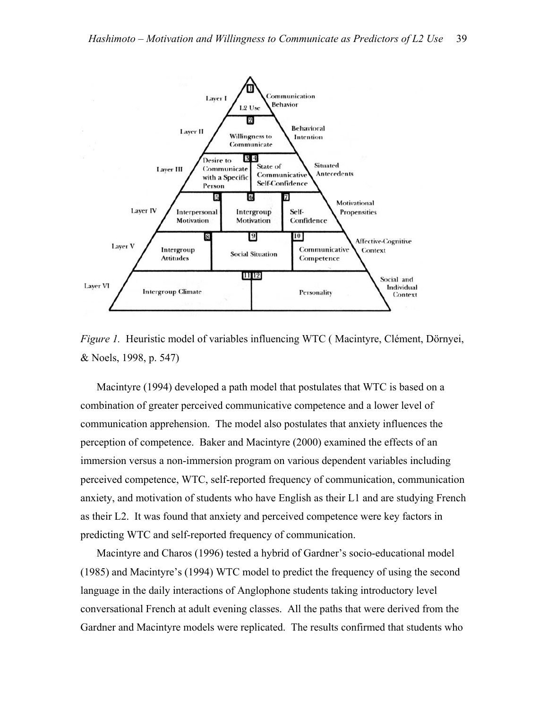

*Figure 1.* Heuristic model of variables influencing WTC ( Macintyre, Clément, Dörnyei, & Noels, 1998, p. 547)

 Macintyre (1994) developed a path model that postulates that WTC is based on a combination of greater perceived communicative competence and a lower level of communication apprehension. The model also postulates that anxiety influences the perception of competence. Baker and Macintyre (2000) examined the effects of an immersion versus a non-immersion program on various dependent variables including perceived competence, WTC, self-reported frequency of communication, communication anxiety, and motivation of students who have English as their L1 and are studying French as their L2. It was found that anxiety and perceived competence were key factors in predicting WTC and self-reported frequency of communication.

 Macintyre and Charos (1996) tested a hybrid of Gardner's socio-educational model (1985) and Macintyre's (1994) WTC model to predict the frequency of using the second language in the daily interactions of Anglophone students taking introductory level conversational French at adult evening classes. All the paths that were derived from the Gardner and Macintyre models were replicated. The results confirmed that students who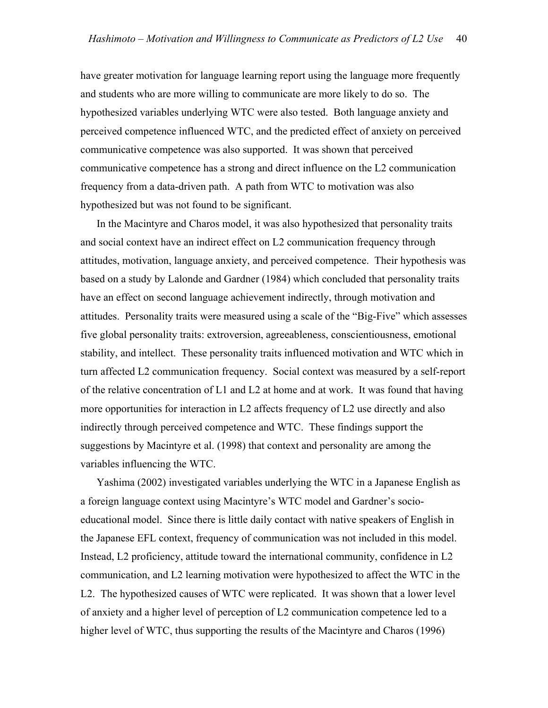have greater motivation for language learning report using the language more frequently and students who are more willing to communicate are more likely to do so. The hypothesized variables underlying WTC were also tested. Both language anxiety and perceived competence influenced WTC, and the predicted effect of anxiety on perceived communicative competence was also supported. It was shown that perceived communicative competence has a strong and direct influence on the L2 communication frequency from a data-driven path. A path from WTC to motivation was also hypothesized but was not found to be significant.

 In the Macintyre and Charos model, it was also hypothesized that personality traits and social context have an indirect effect on L2 communication frequency through attitudes, motivation, language anxiety, and perceived competence. Their hypothesis was based on a study by Lalonde and Gardner (1984) which concluded that personality traits have an effect on second language achievement indirectly, through motivation and attitudes. Personality traits were measured using a scale of the "Big-Five" which assesses five global personality traits: extroversion, agreeableness, conscientiousness, emotional stability, and intellect. These personality traits influenced motivation and WTC which in turn affected L2 communication frequency. Social context was measured by a self-report of the relative concentration of L1 and L2 at home and at work. It was found that having more opportunities for interaction in L2 affects frequency of L2 use directly and also indirectly through perceived competence and WTC. These findings support the suggestions by Macintyre et al. (1998) that context and personality are among the variables influencing the WTC.

 Yashima (2002) investigated variables underlying the WTC in a Japanese English as a foreign language context using Macintyre's WTC model and Gardner's socioeducational model. Since there is little daily contact with native speakers of English in the Japanese EFL context, frequency of communication was not included in this model. Instead, L2 proficiency, attitude toward the international community, confidence in L2 communication, and L2 learning motivation were hypothesized to affect the WTC in the L2. The hypothesized causes of WTC were replicated. It was shown that a lower level of anxiety and a higher level of perception of L2 communication competence led to a higher level of WTC, thus supporting the results of the Macintyre and Charos (1996)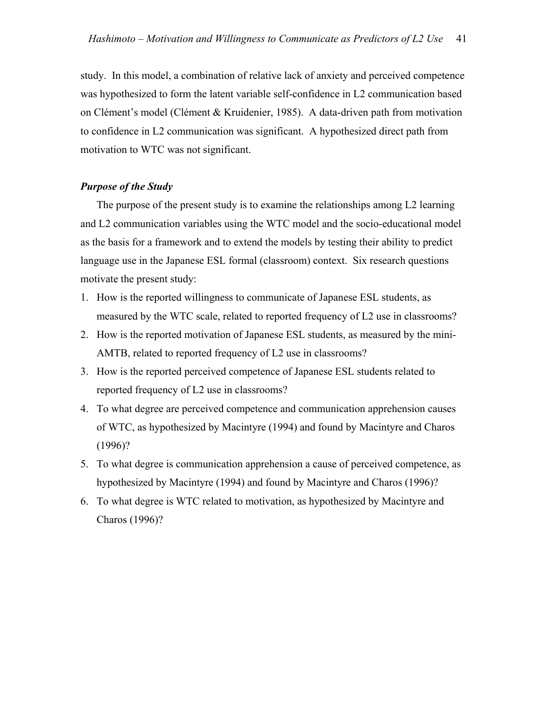study. In this model, a combination of relative lack of anxiety and perceived competence was hypothesized to form the latent variable self-confidence in L2 communication based on Clément's model (Clément & Kruidenier, 1985). A data-driven path from motivation to confidence in L2 communication was significant. A hypothesized direct path from motivation to WTC was not significant.

#### *Purpose of the Study*

 The purpose of the present study is to examine the relationships among L2 learning and L2 communication variables using the WTC model and the socio-educational model as the basis for a framework and to extend the models by testing their ability to predict language use in the Japanese ESL formal (classroom) context. Six research questions motivate the present study:

- 1. How is the reported willingness to communicate of Japanese ESL students, as measured by the WTC scale, related to reported frequency of L2 use in classrooms?
- 2. How is the reported motivation of Japanese ESL students, as measured by the mini-AMTB, related to reported frequency of L2 use in classrooms?
- 3. How is the reported perceived competence of Japanese ESL students related to reported frequency of L2 use in classrooms?
- 4. To what degree are perceived competence and communication apprehension causes of WTC, as hypothesized by Macintyre (1994) and found by Macintyre and Charos (1996)?
- 5. To what degree is communication apprehension a cause of perceived competence, as hypothesized by Macintyre (1994) and found by Macintyre and Charos (1996)?
- 6. To what degree is WTC related to motivation, as hypothesized by Macintyre and Charos (1996)?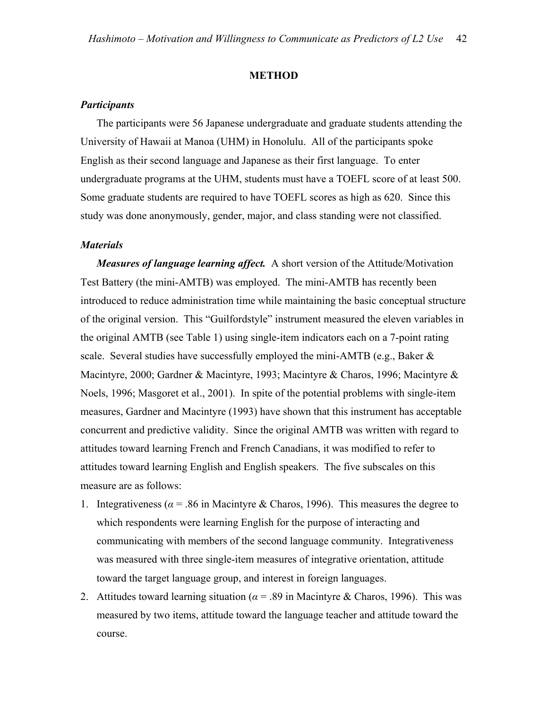#### **METHOD**

# *Participants*

 The participants were 56 Japanese undergraduate and graduate students attending the University of Hawaii at Manoa (UHM) in Honolulu. All of the participants spoke English as their second language and Japanese as their first language. To enter undergraduate programs at the UHM, students must have a TOEFL score of at least 500. Some graduate students are required to have TOEFL scores as high as 620. Since this study was done anonymously, gender, major, and class standing were not classified.

#### *Materials*

*Measures of language learning affect.* A short version of the Attitude/Motivation Test Battery (the mini-AMTB) was employed. The mini-AMTB has recently been introduced to reduce administration time while maintaining the basic conceptual structure of the original version. This "Guilfordstyle" instrument measured the eleven variables in the original AMTB (see Table 1) using single-item indicators each on a 7-point rating scale. Several studies have successfully employed the mini-AMTB (e.g., Baker  $\&$ Macintyre, 2000; Gardner & Macintyre, 1993; Macintyre & Charos, 1996; Macintyre & Noels, 1996; Masgoret et al., 2001). In spite of the potential problems with single-item measures, Gardner and Macintyre (1993) have shown that this instrument has acceptable concurrent and predictive validity. Since the original AMTB was written with regard to attitudes toward learning French and French Canadians, it was modified to refer to attitudes toward learning English and English speakers. The five subscales on this measure are as follows:

- 1. Integrativeness ( $\alpha$  = .86 in Macintyre & Charos, 1996). This measures the degree to which respondents were learning English for the purpose of interacting and communicating with members of the second language community. Integrativeness was measured with three single-item measures of integrative orientation, attitude toward the target language group, and interest in foreign languages.
- 2. Attitudes toward learning situation ( $\alpha$  = .89 in Macintyre & Charos, 1996). This was measured by two items, attitude toward the language teacher and attitude toward the course.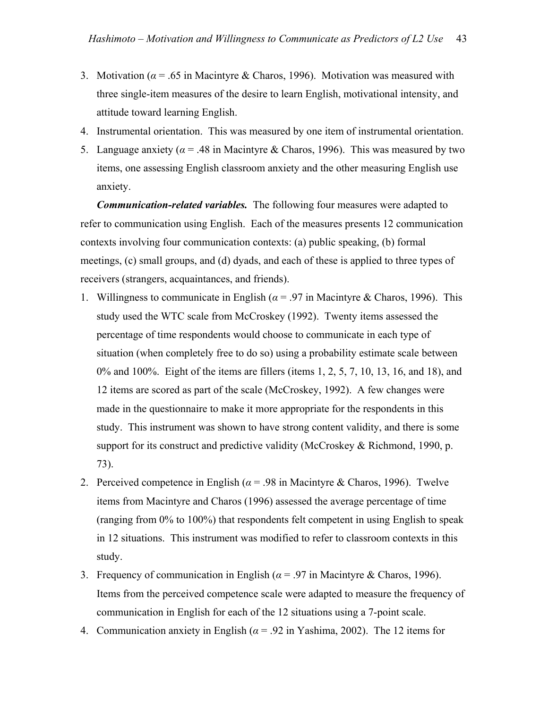- 3. Motivation ( $\alpha$  = .65 in Macintyre & Charos, 1996). Motivation was measured with three single-item measures of the desire to learn English, motivational intensity, and attitude toward learning English.
- 4. Instrumental orientation. This was measured by one item of instrumental orientation.
- 5. Language anxiety ( $\alpha$  = .48 in Macintyre & Charos, 1996). This was measured by two items, one assessing English classroom anxiety and the other measuring English use anxiety.

*Communication-related variables.* The following four measures were adapted to refer to communication using English. Each of the measures presents 12 communication contexts involving four communication contexts: (a) public speaking, (b) formal meetings, (c) small groups, and (d) dyads, and each of these is applied to three types of receivers (strangers, acquaintances, and friends).

- 1. Willingness to communicate in English ( $\alpha$  = .97 in Macintyre & Charos, 1996). This study used the WTC scale from McCroskey (1992). Twenty items assessed the percentage of time respondents would choose to communicate in each type of situation (when completely free to do so) using a probability estimate scale between 0% and 100%. Eight of the items are fillers (items 1, 2, 5, 7, 10, 13, 16, and 18), and 12 items are scored as part of the scale (McCroskey, 1992). A few changes were made in the questionnaire to make it more appropriate for the respondents in this study. This instrument was shown to have strong content validity, and there is some support for its construct and predictive validity (McCroskey & Richmond, 1990, p. 73).
- 2. Perceived competence in English ( $\alpha$  = .98 in Macintyre & Charos, 1996). Twelve items from Macintyre and Charos (1996) assessed the average percentage of time (ranging from 0% to 100%) that respondents felt competent in using English to speak in 12 situations. This instrument was modified to refer to classroom contexts in this study.
- 3. Frequency of communication in English ( $\alpha$  = .97 in Macintyre & Charos, 1996). Items from the perceived competence scale were adapted to measure the frequency of communication in English for each of the 12 situations using a 7-point scale.
- 4. Communication anxiety in English ( $\alpha$  = .92 in Yashima, 2002). The 12 items for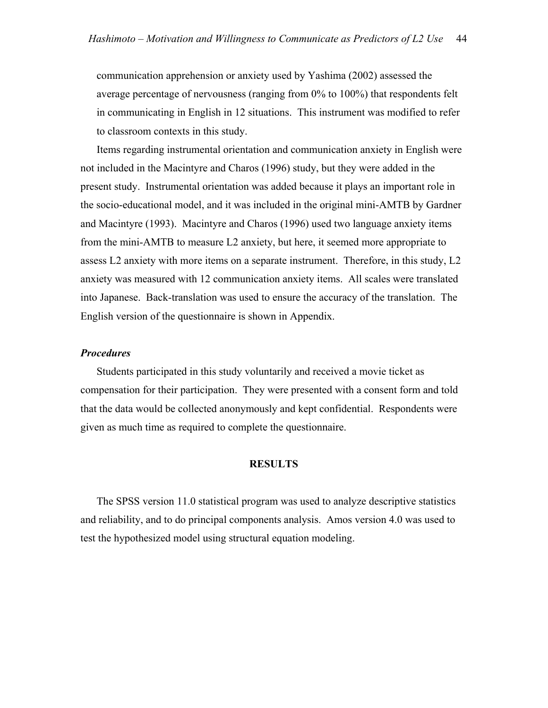communication apprehension or anxiety used by Yashima (2002) assessed the average percentage of nervousness (ranging from 0% to 100%) that respondents felt in communicating in English in 12 situations. This instrument was modified to refer to classroom contexts in this study.

 Items regarding instrumental orientation and communication anxiety in English were not included in the Macintyre and Charos (1996) study, but they were added in the present study. Instrumental orientation was added because it plays an important role in the socio-educational model, and it was included in the original mini-AMTB by Gardner and Macintyre (1993). Macintyre and Charos (1996) used two language anxiety items from the mini-AMTB to measure L2 anxiety, but here, it seemed more appropriate to assess L2 anxiety with more items on a separate instrument. Therefore, in this study, L2 anxiety was measured with 12 communication anxiety items. All scales were translated into Japanese. Back-translation was used to ensure the accuracy of the translation. The English version of the questionnaire is shown in Appendix.

#### *Procedures*

 Students participated in this study voluntarily and received a movie ticket as compensation for their participation. They were presented with a consent form and told that the data would be collected anonymously and kept confidential. Respondents were given as much time as required to complete the questionnaire.

#### **RESULTS**

 The SPSS version 11.0 statistical program was used to analyze descriptive statistics and reliability, and to do principal components analysis. Amos version 4.0 was used to test the hypothesized model using structural equation modeling.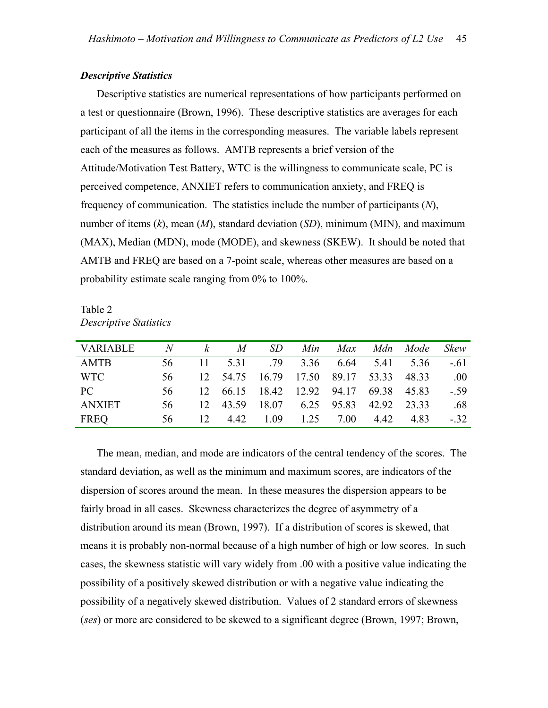#### *Descriptive Statistics*

 Descriptive statistics are numerical representations of how participants performed on a test or questionnaire (Brown, 1996). These descriptive statistics are averages for each participant of all the items in the corresponding measures. The variable labels represent each of the measures as follows. AMTB represents a brief version of the Attitude/Motivation Test Battery, WTC is the willingness to communicate scale, PC is perceived competence, ANXIET refers to communication anxiety, and FREQ is frequency of communication. The statistics include the number of participants (*N*), number of items (*k*), mean (*M*), standard deviation (*SD*), minimum (MIN), and maximum (MAX), Median (MDN), mode (MODE), and skewness (SKEW). It should be noted that AMTB and FREQ are based on a 7-point scale, whereas other measures are based on a probability estimate scale ranging from 0% to 100%.

Table 2 *Descriptive Statistics* 

| VARIABLE      |     |  |  | N k M SD Min Max Mdn Mode              |  | <i><b>Skew</b></i> |
|---------------|-----|--|--|----------------------------------------|--|--------------------|
| AMTB          | 56. |  |  | 11 5.31 .79 3.36 6.64 5.41 5.36        |  | $-61$              |
| <b>WTC</b>    | 56. |  |  | 12 54.75 16.79 17.50 89.17 53.33 48.33 |  | .00                |
| PC            | 56. |  |  | 12 66.15 18.42 12.92 94.17 69.38 45.83 |  | $-.59$             |
| <b>ANXIET</b> | 56. |  |  | 12 43.59 18.07 6.25 95.83 42.92 23.33  |  | .68                |
| FREQ          | 56  |  |  | 12 4.42 1.09 1.25 7.00 4.42 4.83       |  | $-32.$             |

 The mean, median, and mode are indicators of the central tendency of the scores. The standard deviation, as well as the minimum and maximum scores, are indicators of the dispersion of scores around the mean. In these measures the dispersion appears to be fairly broad in all cases. Skewness characterizes the degree of asymmetry of a distribution around its mean (Brown, 1997). If a distribution of scores is skewed, that means it is probably non-normal because of a high number of high or low scores. In such cases, the skewness statistic will vary widely from .00 with a positive value indicating the possibility of a positively skewed distribution or with a negative value indicating the possibility of a negatively skewed distribution. Values of 2 standard errors of skewness (*ses*) or more are considered to be skewed to a significant degree (Brown, 1997; Brown,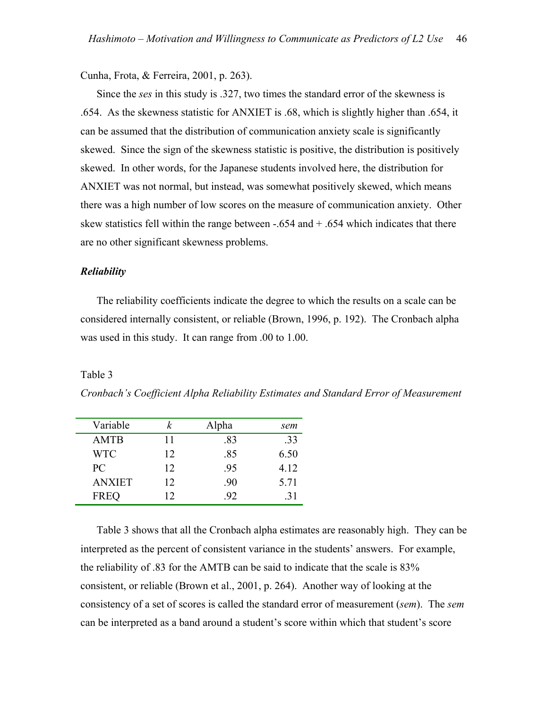#### Cunha, Frota, & Ferreira, 2001, p. 263).

 Since the *ses* in this study is .327, two times the standard error of the skewness is .654. As the skewness statistic for ANXIET is .68, which is slightly higher than .654, it can be assumed that the distribution of communication anxiety scale is significantly skewed. Since the sign of the skewness statistic is positive, the distribution is positively skewed. In other words, for the Japanese students involved here, the distribution for ANXIET was not normal, but instead, was somewhat positively skewed, which means there was a high number of low scores on the measure of communication anxiety. Other skew statistics fell within the range between  $-.654$  and  $+ .654$  which indicates that there are no other significant skewness problems.

#### *Reliability*

 The reliability coefficients indicate the degree to which the results on a scale can be considered internally consistent, or reliable (Brown, 1996, p. 192). The Cronbach alpha was used in this study. It can range from .00 to 1.00.

#### Table 3

*Cronbach's Coefficient Alpha Reliability Estimates and Standard Error of Measurement* 

| Variable      | k            | Alpha | sem  |
|---------------|--------------|-------|------|
| <b>AMTB</b>   | 11           | .83   | .33  |
| <b>WTC</b>    | 12           | .85   | 6.50 |
| PC.           | 12           | .95   | 4.12 |
| <b>ANXIET</b> | 12           | .90   | 5.71 |
| <b>FREQ</b>   | $12^{\circ}$ | .92   | 31   |

 Table 3 shows that all the Cronbach alpha estimates are reasonably high. They can be interpreted as the percent of consistent variance in the students' answers. For example, the reliability of .83 for the AMTB can be said to indicate that the scale is 83% consistent, or reliable (Brown et al., 2001, p. 264). Another way of looking at the consistency of a set of scores is called the standard error of measurement (*sem*). The *sem* can be interpreted as a band around a student's score within which that student's score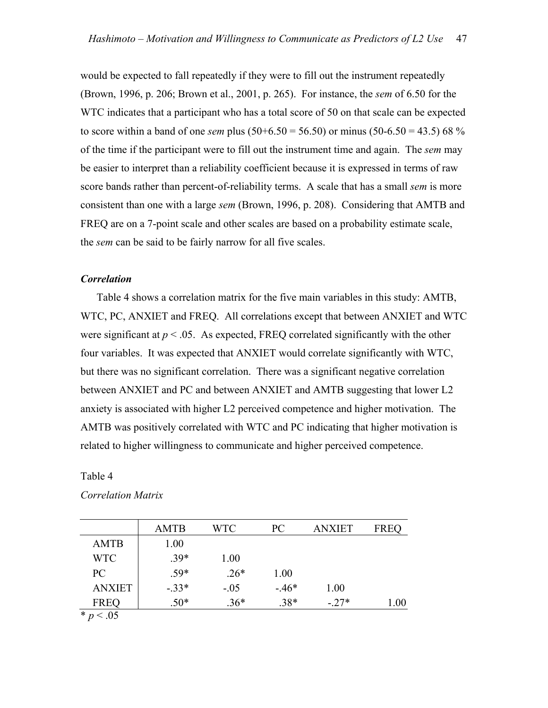would be expected to fall repeatedly if they were to fill out the instrument repeatedly (Brown, 1996, p. 206; Brown et al., 2001, p. 265). For instance, the *sem* of 6.50 for the WTC indicates that a participant who has a total score of 50 on that scale can be expected to score within a band of one *sem* plus (50+6.50 = 56.50) or minus (50-6.50 = 43.5) 68 % of the time if the participant were to fill out the instrument time and again. The *sem* may be easier to interpret than a reliability coefficient because it is expressed in terms of raw score bands rather than percent-of-reliability terms. A scale that has a small *sem* is more consistent than one with a large *sem* (Brown, 1996, p. 208). Considering that AMTB and FREQ are on a 7-point scale and other scales are based on a probability estimate scale, the *sem* can be said to be fairly narrow for all five scales.

#### *Correlation*

 Table 4 shows a correlation matrix for the five main variables in this study: AMTB, WTC, PC, ANXIET and FREQ. All correlations except that between ANXIET and WTC were significant at  $p < 0.05$ . As expected, FREQ correlated significantly with the other four variables. It was expected that ANXIET would correlate significantly with WTC, but there was no significant correlation. There was a significant negative correlation between ANXIET and PC and between ANXIET and AMTB suggesting that lower L2 anxiety is associated with higher L2 perceived competence and higher motivation. The AMTB was positively correlated with WTC and PC indicating that higher motivation is related to higher willingness to communicate and higher perceived competence.

#### Table 4

|                   | <b>AMTB</b> | <b>WTC</b> | PC     | <b>ANXIET</b> | <b>FREQ</b> |
|-------------------|-------------|------------|--------|---------------|-------------|
| <b>AMTB</b>       | 1.00        |            |        |               |             |
| <b>WTC</b>        | $.39*$      | 1.00       |        |               |             |
| PC                | $.59*$      | $.26*$     | 1.00   |               |             |
| <b>ANXIET</b>     | $-.33*$     | $-.05$     | $-46*$ | 1.00          |             |
| <b>FREQ</b>       | $.50*$      | $.36*$     | $.38*$ | $-.27*$       | .00         |
| $\star$ $\sim$ 05 |             |            |        |               |             |

#### *Correlation Matrix*

\* *p* < .05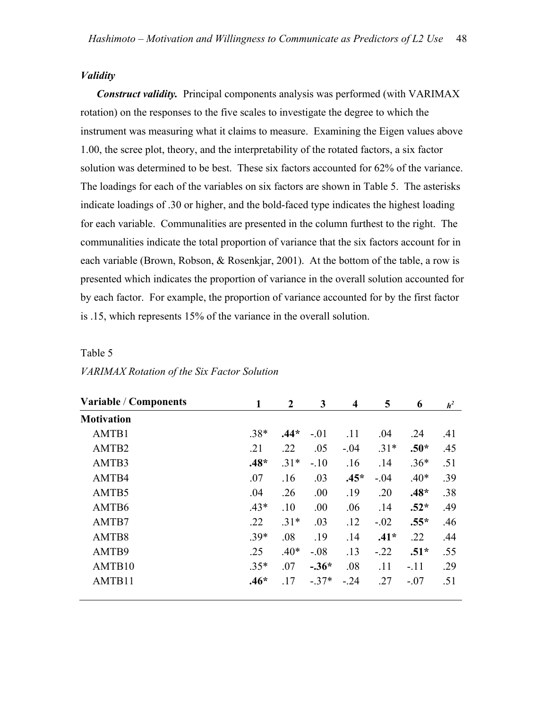# *Validity*

*Construct validity.* Principal components analysis was performed (with VARIMAX rotation) on the responses to the five scales to investigate the degree to which the instrument was measuring what it claims to measure. Examining the Eigen values above 1.00, the scree plot, theory, and the interpretability of the rotated factors, a six factor solution was determined to be best. These six factors accounted for 62% of the variance. The loadings for each of the variables on six factors are shown in Table 5. The asterisks indicate loadings of .30 or higher, and the bold-faced type indicates the highest loading for each variable. Communalities are presented in the column furthest to the right. The communalities indicate the total proportion of variance that the six factors account for in each variable (Brown, Robson, & Rosenkjar, 2001). At the bottom of the table, a row is presented which indicates the proportion of variance in the overall solution accounted for by each factor. For example, the proportion of variance accounted for by the first factor is .15, which represents 15% of the variance in the overall solution.

#### Table 5

| <b>Variable / Components</b> |        | $\boldsymbol{2}$ | 3       | $\overline{\mathbf{4}}$ | 5      | 6      | h <sup>2</sup> |
|------------------------------|--------|------------------|---------|-------------------------|--------|--------|----------------|
| <b>Motivation</b>            |        |                  |         |                         |        |        |                |
| AMTB1                        | $.38*$ | $.44*$           | $-.01$  | .11                     | .04    | .24    | .41            |
| AMTB2                        | .21    | .22              | .05     | $-.04$                  | $.31*$ | $.50*$ | .45            |
| AMTB3                        | $.48*$ | $.31*$           | $-.10$  | .16                     | .14    | $.36*$ | .51            |
| AMTB4                        | .07    | .16              | .03     | $.45*$                  | $-.04$ | $.40*$ | .39            |
| AMTB5                        | .04    | .26              | .00     | .19                     | .20    | $.48*$ | .38            |
| AMTB6                        | $.43*$ | .10              | .00     | .06                     | .14    | $.52*$ | .49            |
| AMTB7                        | .22    | $.31*$           | .03     | .12                     | $-.02$ | $.55*$ | .46            |
| AMTB8                        | $.39*$ | .08              | .19     | .14                     | $.41*$ | .22    | .44            |
| AMTB9                        | .25    | $.40*$           | $-.08$  | .13                     | $-22$  | $.51*$ | .55            |
| AMTB10                       | $.35*$ | .07              | $-.36*$ | .08                     | .11    | $-.11$ | .29            |
| AMTB11                       | $.46*$ | .17              | $-37*$  | $-.24$                  | .27    | $-.07$ | .51            |

#### *VARIMAX Rotation of the Six Factor Solution*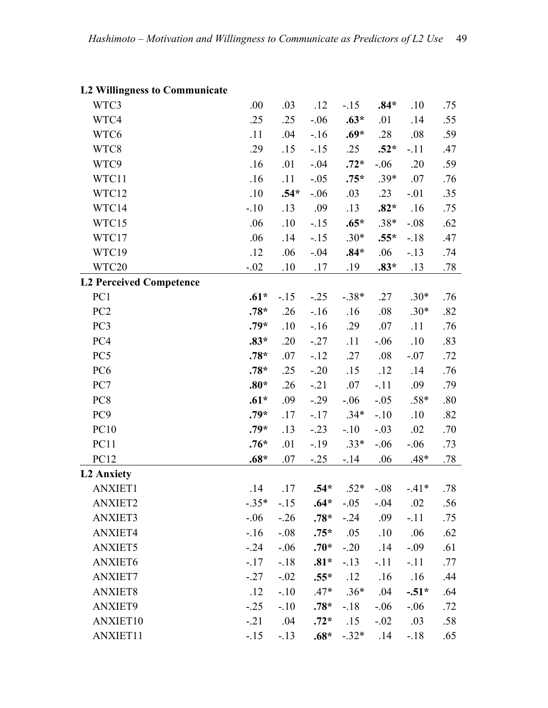| <i><b>De Winnghess to Communicate</b></i> |         |        |         |             |        |         |     |
|-------------------------------------------|---------|--------|---------|-------------|--------|---------|-----|
| WTC3                                      | .00     | .03    | .12     | $-15$       | $.84*$ | .10     | .75 |
| WTC4                                      | .25     | .25    | $-.06$  | $.63*$      | .01    | .14     | .55 |
| WTC6                                      | .11     | .04    | $-16$   | $.69*$      | .28    | .08     | .59 |
| WTC8                                      | .29     | .15    | $-15$   | .25         | $.52*$ | $-.11$  | .47 |
| WTC9                                      | .16     | .01    | $-.04$  | $.72*$      | $-.06$ | .20     | .59 |
| WTC11                                     | .16     | .11    | $-.05$  | $.75*$      | $.39*$ | .07     | .76 |
| WTC12                                     | .10     | $.54*$ | $-.06$  | .03         | .23    | $-.01$  | .35 |
| WTC14                                     | $-.10$  | .13    | .09     | .13         | $.82*$ | .16     | .75 |
| WTC15                                     | .06     | .10    | $-.15$  | $.65*$      | $.38*$ | $-.08$  | .62 |
| WTC17                                     | .06     | .14    | $-.15$  | $.30*$      | $.55*$ | $-18$   | .47 |
| WTC19                                     | .12     | .06    | $-.04$  | $.84*$      | .06    | $-13$   | .74 |
| WTC20                                     | $-.02$  | .10    | .17     | .19         | $.83*$ | .13     | .78 |
| <b>L2 Perceived Competence</b>            |         |        |         |             |        |         |     |
| PC <sub>1</sub>                           | $.61*$  | $-.15$ | $-.25$  | $-.38*$     | .27    | $.30*$  | .76 |
| PC <sub>2</sub>                           | $.78*$  | .26    | $-16$   | .16         | .08    | $.30*$  | .82 |
| PC3                                       | $.79*$  | .10    | $-16$   | .29         | .07    | .11     | .76 |
| PC4                                       | $.83*$  | .20    | $-.27$  | .11         | $-.06$ | .10     | .83 |
| PC5                                       | $.78*$  | .07    | $-.12$  | .27         | .08    | $-.07$  | .72 |
| PC <sub>6</sub>                           | $.78*$  | .25    | $-.20$  | .15         | .12    | .14     | .76 |
| PC7                                       | $.80*$  | .26    | $-.21$  | .07         | $-.11$ | .09     | .79 |
| PC8                                       | $.61*$  | .09    | $-.29$  | $-.06$      | $-.05$ | $.58*$  | .80 |
| PC <sub>9</sub>                           | $.79*$  | .17    | $-.17$  | $.34*$      | $-.10$ | .10     | .82 |
| <b>PC10</b>                               | $.79*$  | .13    | $-.23$  | $-.10$      | $-.03$ | .02     | .70 |
| PC11                                      | $.76*$  | .01    | $-19$   | $.33*$      | $-.06$ | $-0.06$ | .73 |
| PC12                                      | $.68*$  | .07    | $-0.25$ | $-14$       | .06    | $.48*$  | .78 |
| <b>L2 Anxiety</b>                         |         |        |         |             |        |         |     |
| <b>ANXIET1</b>                            | .14     | .17    | $.54*$  | $.52*$      | $-.08$ | $-41*$  | .78 |
| <b>ANXIET2</b>                            | $-.35*$ | $-15$  | $.64*$  | $-.05$      | $-.04$ | .02     | .56 |
| <b>ANXIET3</b>                            | $-.06$  | $-.26$ | $.78*$  | $-.24$      | .09    | $-.11$  | .75 |
| ANXIET4                                   | $-16$   | $-.08$ | $.75*$  | .05         | .10    | .06     | .62 |
| <b>ANXIET5</b>                            | $-.24$  | $-.06$ | $.70*$  | $-.20$      | .14    | $-.09$  | .61 |
| ANXIET6                                   | $-.17$  | $-.18$ | $.81*$  | $-13$       | $-.11$ | $-.11$  | .77 |
| <b>ANXIET7</b>                            | $-.27$  | $-.02$ | $.55*$  | .12         | .16    | .16     | .44 |
| <b>ANXIET8</b>                            | .12     | $-.10$ | $.47*$  | $.36*$      | .04    | $-.51*$ | .64 |
| ANXIET9                                   | $-0.25$ | $-.10$ | $.78*$  | $-18$       | $-.06$ | $-.06$  | .72 |
| ANXIET10                                  | $-21$   | .04    | $.72*$  | .15         | $-.02$ | .03     | .58 |
| ANXIET11                                  | $-15$   | $-13$  |         | $.68*-.32*$ | .14    | $-18$   | .65 |

# **L2 Willingness to Communicate**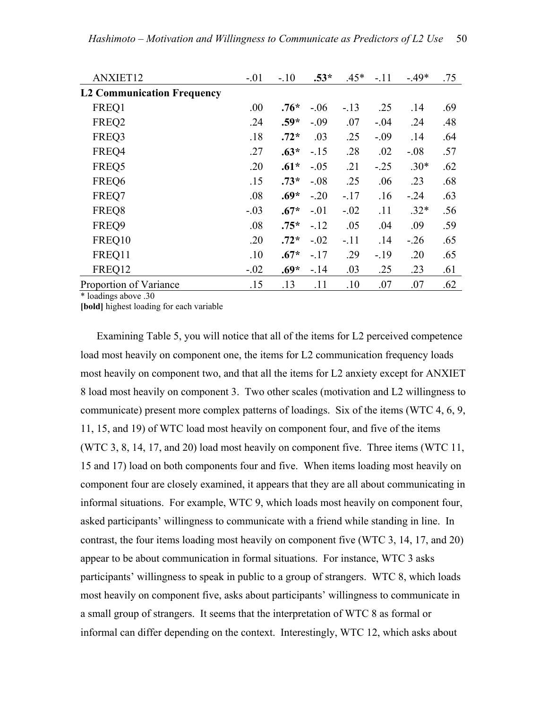| ANXIET12                          | $-.01$ | $-.10$ | $.53*$ | $.45*$ | $-.11$ | $-49*$ | .75 |
|-----------------------------------|--------|--------|--------|--------|--------|--------|-----|
| <b>L2 Communication Frequency</b> |        |        |        |        |        |        |     |
| FREQ1                             | .00.   | $.76*$ | $-.06$ | $-.13$ | .25    | .14    | .69 |
| FREQ2                             | .24    | $.59*$ | $-.09$ | .07    | $-.04$ | .24    | .48 |
| FREQ3                             | .18    | $.72*$ | .03    | .25    | $-.09$ | .14    | .64 |
| FREQ4                             | .27    | $.63*$ | $-.15$ | .28    | .02    | $-.08$ | .57 |
| FREQ5                             | .20    | $.61*$ | $-.05$ | .21    | $-.25$ | $.30*$ | .62 |
| FREQ6                             | .15    | $.73*$ | $-.08$ | .25    | .06    | .23    | .68 |
| FREQ7                             | .08    | $.69*$ | $-.20$ | $-17$  | .16    | $-24$  | .63 |
| FREQ8                             | $-.03$ | $.67*$ | $-.01$ | $-.02$ | .11    | $.32*$ | .56 |
| FREQ9                             | .08    | $.75*$ | $-.12$ | .05    | .04    | .09    | .59 |
| FREQ10                            | .20    | $.72*$ | $-.02$ | $-.11$ | .14    | $-.26$ | .65 |
| FREQ11                            | .10    | $.67*$ | $-.17$ | .29    | $-19$  | .20    | .65 |
| FREQ12                            | $-.02$ | $.69*$ | $-14$  | .03    | .25    | .23    | .61 |
| Proportion of Variance            | .15    | .13    | .11    | .10    | .07    | .07    | .62 |

\* loadings above .30

**[bold]** highest loading for each variable

 Examining Table 5, you will notice that all of the items for L2 perceived competence load most heavily on component one, the items for L2 communication frequency loads most heavily on component two, and that all the items for L2 anxiety except for ANXIET 8 load most heavily on component 3. Two other scales (motivation and L2 willingness to communicate) present more complex patterns of loadings. Six of the items (WTC 4, 6, 9, 11, 15, and 19) of WTC load most heavily on component four, and five of the items (WTC 3, 8, 14, 17, and 20) load most heavily on component five. Three items (WTC 11, 15 and 17) load on both components four and five. When items loading most heavily on component four are closely examined, it appears that they are all about communicating in informal situations. For example, WTC 9, which loads most heavily on component four, asked participants' willingness to communicate with a friend while standing in line. In contrast, the four items loading most heavily on component five (WTC 3, 14, 17, and 20) appear to be about communication in formal situations. For instance, WTC 3 asks participants' willingness to speak in public to a group of strangers. WTC 8, which loads most heavily on component five, asks about participants' willingness to communicate in a small group of strangers. It seems that the interpretation of WTC 8 as formal or informal can differ depending on the context. Interestingly, WTC 12, which asks about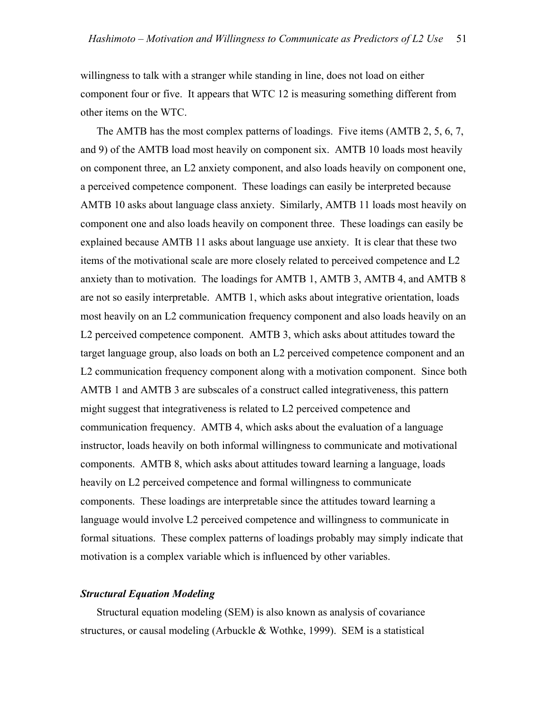willingness to talk with a stranger while standing in line, does not load on either component four or five. It appears that WTC 12 is measuring something different from other items on the WTC.

 The AMTB has the most complex patterns of loadings. Five items (AMTB 2, 5, 6, 7, and 9) of the AMTB load most heavily on component six. AMTB 10 loads most heavily on component three, an L2 anxiety component, and also loads heavily on component one, a perceived competence component. These loadings can easily be interpreted because AMTB 10 asks about language class anxiety. Similarly, AMTB 11 loads most heavily on component one and also loads heavily on component three. These loadings can easily be explained because AMTB 11 asks about language use anxiety. It is clear that these two items of the motivational scale are more closely related to perceived competence and L2 anxiety than to motivation. The loadings for AMTB 1, AMTB 3, AMTB 4, and AMTB 8 are not so easily interpretable. AMTB 1, which asks about integrative orientation, loads most heavily on an L2 communication frequency component and also loads heavily on an L2 perceived competence component. AMTB 3, which asks about attitudes toward the target language group, also loads on both an L2 perceived competence component and an L2 communication frequency component along with a motivation component. Since both AMTB 1 and AMTB 3 are subscales of a construct called integrativeness, this pattern might suggest that integrativeness is related to L2 perceived competence and communication frequency. AMTB 4, which asks about the evaluation of a language instructor, loads heavily on both informal willingness to communicate and motivational components. AMTB 8, which asks about attitudes toward learning a language, loads heavily on L2 perceived competence and formal willingness to communicate components. These loadings are interpretable since the attitudes toward learning a language would involve L2 perceived competence and willingness to communicate in formal situations. These complex patterns of loadings probably may simply indicate that motivation is a complex variable which is influenced by other variables.

## *Structural Equation Modeling*

 Structural equation modeling (SEM) is also known as analysis of covariance structures, or causal modeling (Arbuckle & Wothke, 1999). SEM is a statistical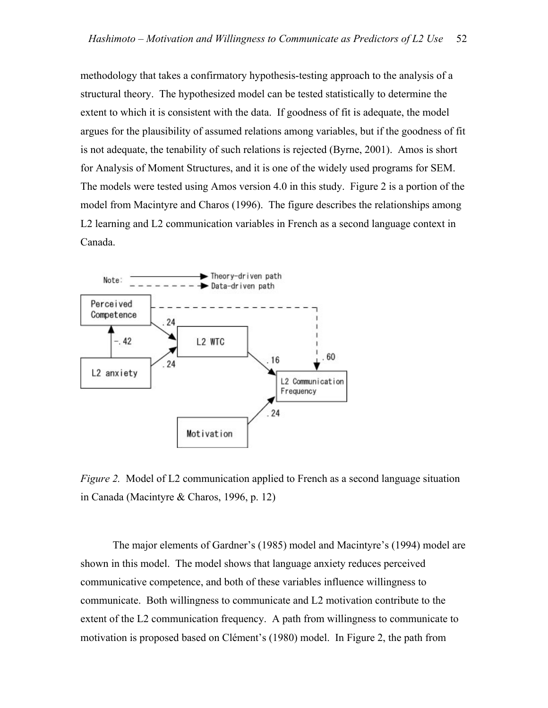methodology that takes a confirmatory hypothesis-testing approach to the analysis of a structural theory. The hypothesized model can be tested statistically to determine the extent to which it is consistent with the data. If goodness of fit is adequate, the model argues for the plausibility of assumed relations among variables, but if the goodness of fit is not adequate, the tenability of such relations is rejected (Byrne, 2001). Amos is short for Analysis of Moment Structures, and it is one of the widely used programs for SEM. The models were tested using Amos version 4.0 in this study. Figure 2 is a portion of the model from Macintyre and Charos (1996). The figure describes the relationships among L2 learning and L2 communication variables in French as a second language context in Canada.



*Figure 2.* Model of L2 communication applied to French as a second language situation in Canada (Macintyre & Charos, 1996, p. 12)

 The major elements of Gardner's (1985) model and Macintyre's (1994) model are shown in this model. The model shows that language anxiety reduces perceived communicative competence, and both of these variables influence willingness to communicate. Both willingness to communicate and L2 motivation contribute to the extent of the L2 communication frequency. A path from willingness to communicate to motivation is proposed based on Clément's (1980) model. In Figure 2, the path from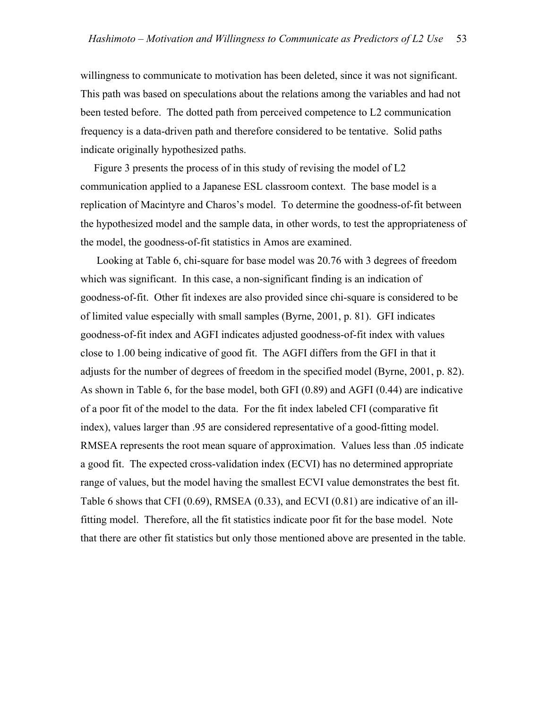willingness to communicate to motivation has been deleted, since it was not significant. This path was based on speculations about the relations among the variables and had not been tested before. The dotted path from perceived competence to L2 communication frequency is a data-driven path and therefore considered to be tentative. Solid paths indicate originally hypothesized paths.

 Figure 3 presents the process of in this study of revising the model of L2 communication applied to a Japanese ESL classroom context. The base model is a replication of Macintyre and Charos's model. To determine the goodness-of-fit between the hypothesized model and the sample data, in other words, to test the appropriateness of the model, the goodness-of-fit statistics in Amos are examined.

 Looking at Table 6, chi-square for base model was 20.76 with 3 degrees of freedom which was significant. In this case, a non-significant finding is an indication of goodness-of-fit. Other fit indexes are also provided since chi-square is considered to be of limited value especially with small samples (Byrne, 2001, p. 81). GFI indicates goodness-of-fit index and AGFI indicates adjusted goodness-of-fit index with values close to 1.00 being indicative of good fit. The AGFI differs from the GFI in that it adjusts for the number of degrees of freedom in the specified model (Byrne, 2001, p. 82). As shown in Table 6, for the base model, both GFI (0.89) and AGFI (0.44) are indicative of a poor fit of the model to the data. For the fit index labeled CFI (comparative fit index), values larger than .95 are considered representative of a good-fitting model. RMSEA represents the root mean square of approximation. Values less than .05 indicate a good fit. The expected cross-validation index (ECVI) has no determined appropriate range of values, but the model having the smallest ECVI value demonstrates the best fit. Table 6 shows that CFI (0.69), RMSEA (0.33), and ECVI (0.81) are indicative of an illfitting model. Therefore, all the fit statistics indicate poor fit for the base model. Note that there are other fit statistics but only those mentioned above are presented in the table.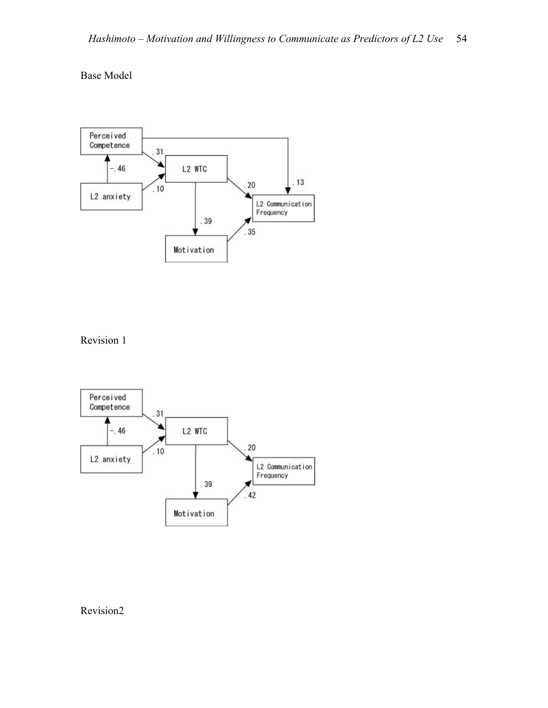# Base Model



Revision 1



# Revision2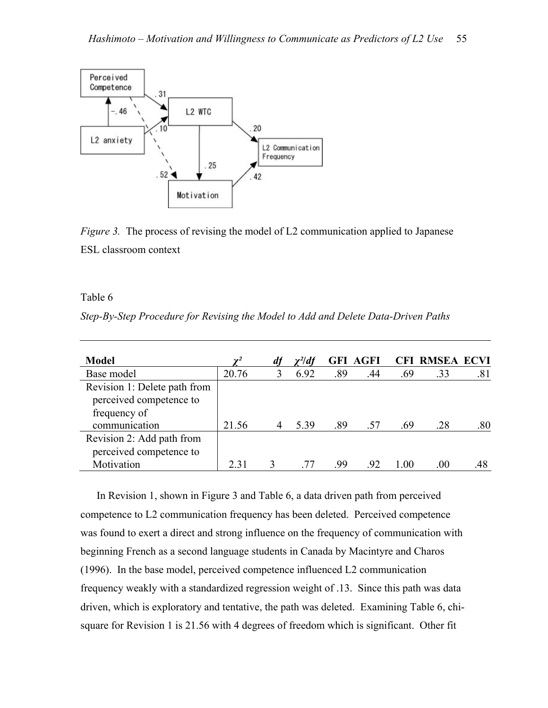

*Figure 3.* The process of revising the model of L2 communication applied to Japanese ESL classroom context

#### Table 6

*Step-By-Step Procedure for Revising the Model to Add and Delete Data-Driven Paths* 

| <b>Model</b>                 | $\mathbf{v}^2$ | $\chi^2$ df |     | <b>GFI AGFI</b> |     | <b>CFI RMSEA ECVI</b> |     |
|------------------------------|----------------|-------------|-----|-----------------|-----|-----------------------|-----|
| Base model                   | 20.76          | 6.92        | .89 | .44             | .69 | .33                   | .81 |
| Revision 1: Delete path from |                |             |     |                 |     |                       |     |
| perceived competence to      |                |             |     |                 |     |                       |     |
| frequency of                 |                |             |     |                 |     |                       |     |
| communication                | 21.56          | 5.39        | .89 | .57             | .69 | .28                   | .80 |
| Revision 2: Add path from    |                |             |     |                 |     |                       |     |
| perceived competence to      |                |             |     |                 |     |                       |     |
| Motivation                   | 2.31           |             | -99 | -92             | 100 | .00                   |     |

 In Revision 1, shown in Figure 3 and Table 6, a data driven path from perceived competence to L2 communication frequency has been deleted. Perceived competence was found to exert a direct and strong influence on the frequency of communication with beginning French as a second language students in Canada by Macintyre and Charos (1996). In the base model, perceived competence influenced L2 communication frequency weakly with a standardized regression weight of .13. Since this path was data driven, which is exploratory and tentative, the path was deleted. Examining Table 6, chisquare for Revision 1 is 21.56 with 4 degrees of freedom which is significant. Other fit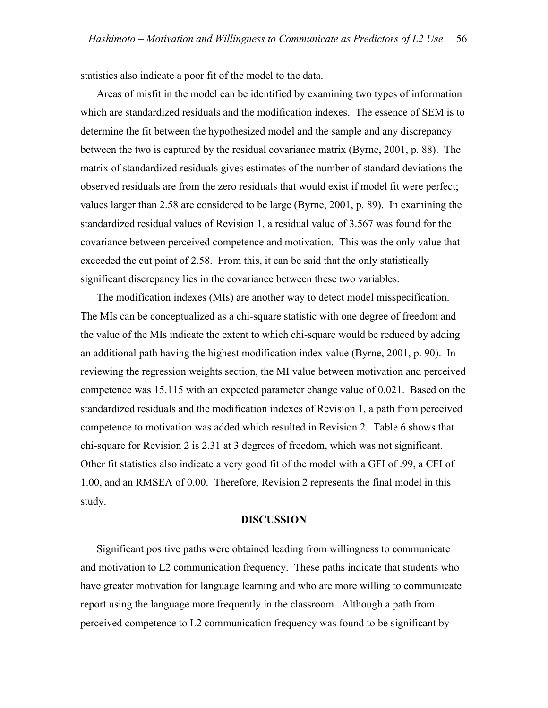statistics also indicate a poor fit of the model to the data.

 Areas of misfit in the model can be identified by examining two types of information which are standardized residuals and the modification indexes. The essence of SEM is to determine the fit between the hypothesized model and the sample and any discrepancy between the two is captured by the residual covariance matrix (Byrne, 2001, p. 88). The matrix of standardized residuals gives estimates of the number of standard deviations the observed residuals are from the zero residuals that would exist if model fit were perfect; values larger than 2.58 are considered to be large (Byrne, 2001, p. 89). In examining the standardized residual values of Revision 1, a residual value of 3.567 was found for the covariance between perceived competence and motivation. This was the only value that exceeded the cut point of 2.58. From this, it can be said that the only statistically significant discrepancy lies in the covariance between these two variables.

 The modification indexes (MIs) are another way to detect model misspecification. The MIs can be conceptualized as a chi-square statistic with one degree of freedom and the value of the MIs indicate the extent to which chi-square would be reduced by adding an additional path having the highest modification index value (Byrne, 2001, p. 90). In reviewing the regression weights section, the MI value between motivation and perceived competence was 15.115 with an expected parameter change value of 0.021. Based on the standardized residuals and the modification indexes of Revision 1, a path from perceived competence to motivation was added which resulted in Revision 2. Table 6 shows that chi-square for Revision 2 is 2.31 at 3 degrees of freedom, which was not significant. Other fit statistics also indicate a very good fit of the model with a GFI of .99, a CFI of 1.00, and an RMSEA of 0.00. Therefore, Revision 2 represents the final model in this study.

#### **DISCUSSION**

 Significant positive paths were obtained leading from willingness to communicate and motivation to L2 communication frequency. These paths indicate that students who have greater motivation for language learning and who are more willing to communicate report using the language more frequently in the classroom. Although a path from perceived competence to L2 communication frequency was found to be significant by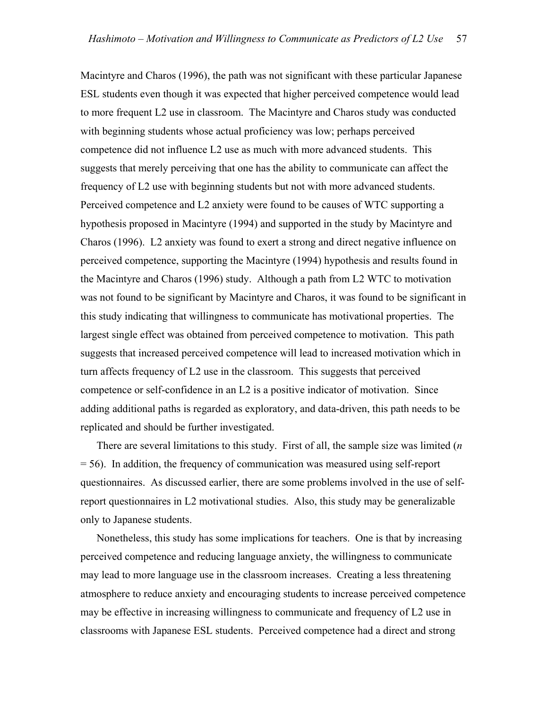Macintyre and Charos (1996), the path was not significant with these particular Japanese ESL students even though it was expected that higher perceived competence would lead to more frequent L2 use in classroom. The Macintyre and Charos study was conducted with beginning students whose actual proficiency was low; perhaps perceived competence did not influence L2 use as much with more advanced students. This suggests that merely perceiving that one has the ability to communicate can affect the frequency of L2 use with beginning students but not with more advanced students. Perceived competence and L2 anxiety were found to be causes of WTC supporting a hypothesis proposed in Macintyre (1994) and supported in the study by Macintyre and Charos (1996). L2 anxiety was found to exert a strong and direct negative influence on perceived competence, supporting the Macintyre (1994) hypothesis and results found in the Macintyre and Charos (1996) study. Although a path from L2 WTC to motivation was not found to be significant by Macintyre and Charos, it was found to be significant in this study indicating that willingness to communicate has motivational properties. The largest single effect was obtained from perceived competence to motivation. This path suggests that increased perceived competence will lead to increased motivation which in turn affects frequency of L2 use in the classroom. This suggests that perceived competence or self-confidence in an L2 is a positive indicator of motivation. Since adding additional paths is regarded as exploratory, and data-driven, this path needs to be replicated and should be further investigated.

 There are several limitations to this study. First of all, the sample size was limited (*n* = 56). In addition, the frequency of communication was measured using self-report questionnaires. As discussed earlier, there are some problems involved in the use of selfreport questionnaires in L2 motivational studies. Also, this study may be generalizable only to Japanese students.

 Nonetheless, this study has some implications for teachers. One is that by increasing perceived competence and reducing language anxiety, the willingness to communicate may lead to more language use in the classroom increases. Creating a less threatening atmosphere to reduce anxiety and encouraging students to increase perceived competence may be effective in increasing willingness to communicate and frequency of L2 use in classrooms with Japanese ESL students. Perceived competence had a direct and strong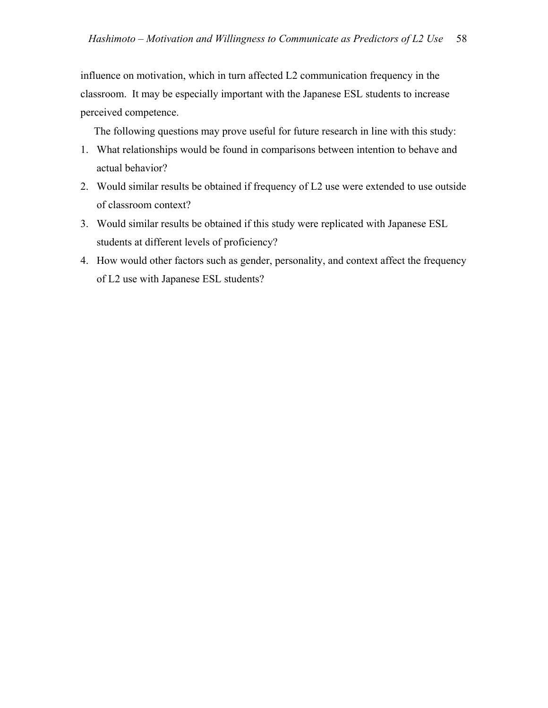influence on motivation, which in turn affected L2 communication frequency in the classroom. It may be especially important with the Japanese ESL students to increase perceived competence.

The following questions may prove useful for future research in line with this study:

- 1. What relationships would be found in comparisons between intention to behave and actual behavior?
- 2. Would similar results be obtained if frequency of L2 use were extended to use outside of classroom context?
- 3. Would similar results be obtained if this study were replicated with Japanese ESL students at different levels of proficiency?
- 4. How would other factors such as gender, personality, and context affect the frequency of L2 use with Japanese ESL students?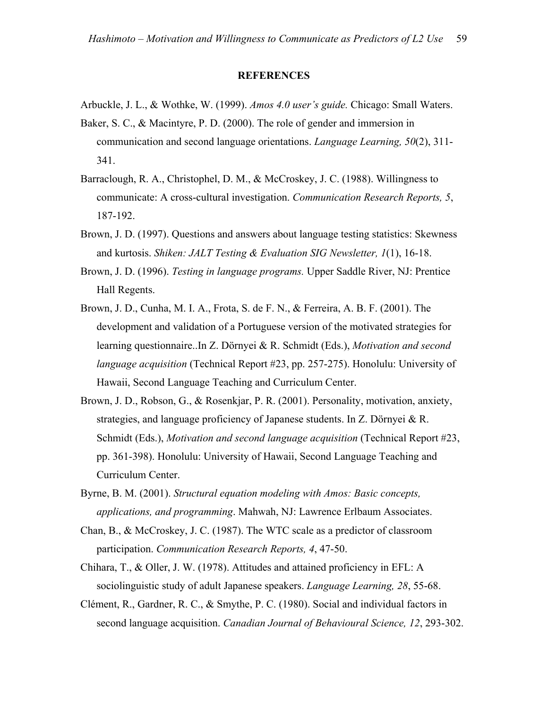#### **REFERENCES**

- Arbuckle, J. L., & Wothke, W. (1999). *Amos 4.0 user's guide.* Chicago: Small Waters.
- Baker, S. C., & Macintyre, P. D. (2000). The role of gender and immersion in communication and second language orientations. *Language Learning, 50*(2), 311- 341.
- Barraclough, R. A., Christophel, D. M., & McCroskey, J. C. (1988). Willingness to communicate: A cross-cultural investigation. *Communication Research Reports, 5*, 187-192.
- Brown, J. D. (1997). Questions and answers about language testing statistics: Skewness and kurtosis. *Shiken: JALT Testing & Evaluation SIG Newsletter, 1*(1), 16-18.
- Brown, J. D. (1996). *Testing in language programs.* Upper Saddle River, NJ: Prentice Hall Regents.
- Brown, J. D., Cunha, M. I. A., Frota, S. de F. N., & Ferreira, A. B. F. (2001). The development and validation of a Portuguese version of the motivated strategies for learning questionnaire..In Z. Dörnyei & R. Schmidt (Eds.), *Motivation and second language acquisition* (Technical Report #23, pp. 257-275). Honolulu: University of Hawaii, Second Language Teaching and Curriculum Center.
- Brown, J. D., Robson, G., & Rosenkjar, P. R. (2001). Personality, motivation, anxiety, strategies, and language proficiency of Japanese students. In Z. Dörnyei & R. Schmidt (Eds.), *Motivation and second language acquisition* (Technical Report #23, pp. 361-398). Honolulu: University of Hawaii, Second Language Teaching and Curriculum Center.
- Byrne, B. M. (2001). *Structural equation modeling with Amos: Basic concepts, applications, and programming*. Mahwah, NJ: Lawrence Erlbaum Associates.
- Chan, B., & McCroskey, J. C. (1987). The WTC scale as a predictor of classroom participation. *Communication Research Reports, 4*, 47-50.
- Chihara, T., & Oller, J. W. (1978). Attitudes and attained proficiency in EFL: A sociolinguistic study of adult Japanese speakers. *Language Learning, 28*, 55-68.
- Clément, R., Gardner, R. C., & Smythe, P. C. (1980). Social and individual factors in second language acquisition. *Canadian Journal of Behavioural Science, 12*, 293-302.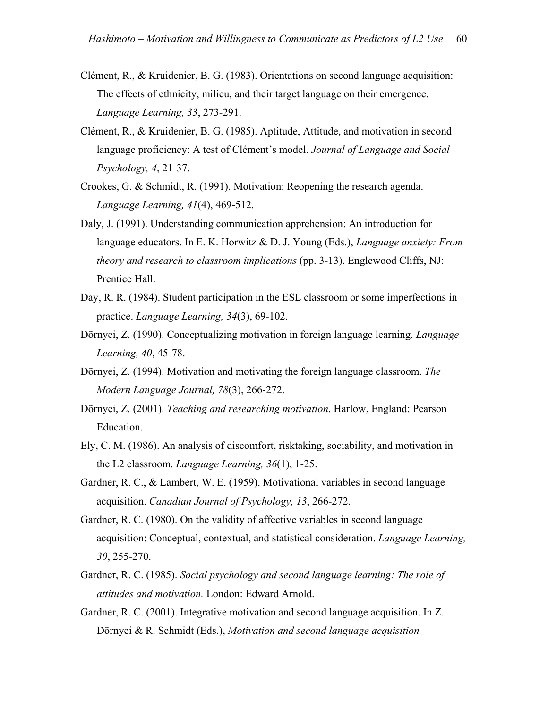- Clément, R., & Kruidenier, B. G. (1983). Orientations on second language acquisition: The effects of ethnicity, milieu, and their target language on their emergence. *Language Learning, 33*, 273-291.
- Clément, R., & Kruidenier, B. G. (1985). Aptitude, Attitude, and motivation in second language proficiency: A test of Clément's model. *Journal of Language and Social Psychology, 4*, 21-37.
- Crookes, G. & Schmidt, R. (1991). Motivation: Reopening the research agenda. *Language Learning, 41*(4), 469-512.
- Daly, J. (1991). Understanding communication apprehension: An introduction for language educators. In E. K. Horwitz & D. J. Young (Eds.), *Language anxiety: From theory and research to classroom implications* (pp. 3-13). Englewood Cliffs, NJ: Prentice Hall.
- Day, R. R. (1984). Student participation in the ESL classroom or some imperfections in practice. *Language Learning, 34*(3), 69-102.
- Dörnyei, Z. (1990). Conceptualizing motivation in foreign language learning. *Language Learning, 40*, 45-78.
- Dörnyei, Z. (1994). Motivation and motivating the foreign language classroom. *The Modern Language Journal, 78*(3), 266-272.
- Dörnyei, Z. (2001). *Teaching and researching motivation*. Harlow, England: Pearson Education.
- Ely, C. M. (1986). An analysis of discomfort, risktaking, sociability, and motivation in the L2 classroom. *Language Learning, 36*(1), 1-25.
- Gardner, R. C., & Lambert, W. E. (1959). Motivational variables in second language acquisition. *Canadian Journal of Psychology, 13*, 266-272.
- Gardner, R. C. (1980). On the validity of affective variables in second language acquisition: Conceptual, contextual, and statistical consideration. *Language Learning, 30*, 255-270.
- Gardner, R. C. (1985). *Social psychology and second language learning: The role of attitudes and motivation.* London: Edward Arnold.
- Gardner, R. C. (2001). Integrative motivation and second language acquisition. In Z. Dörnyei & R. Schmidt (Eds.), *Motivation and second language acquisition*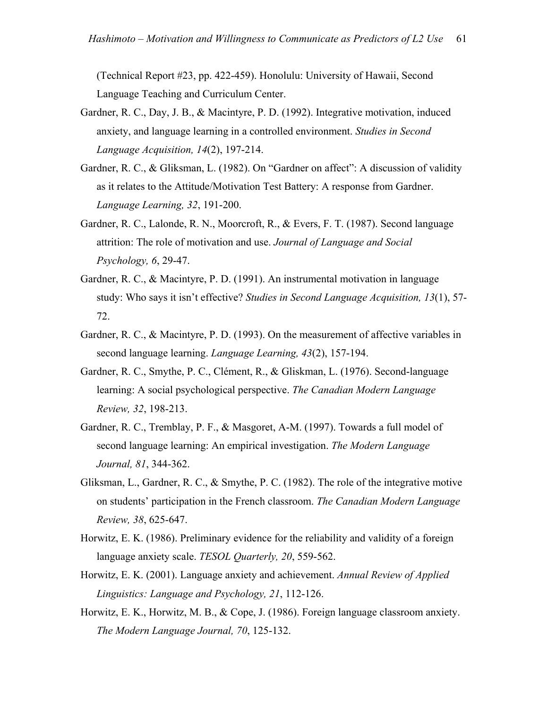(Technical Report #23, pp. 422-459). Honolulu: University of Hawaii, Second Language Teaching and Curriculum Center.

- Gardner, R. C., Day, J. B., & Macintyre, P. D. (1992). Integrative motivation, induced anxiety, and language learning in a controlled environment. *Studies in Second Language Acquisition, 14*(2), 197-214.
- Gardner, R. C., & Gliksman, L. (1982). On "Gardner on affect": A discussion of validity as it relates to the Attitude/Motivation Test Battery: A response from Gardner. *Language Learning, 32*, 191-200.
- Gardner, R. C., Lalonde, R. N., Moorcroft, R., & Evers, F. T. (1987). Second language attrition: The role of motivation and use. *Journal of Language and Social Psychology, 6*, 29-47.
- Gardner, R. C., & Macintyre, P. D. (1991). An instrumental motivation in language study: Who says it isn't effective? *Studies in Second Language Acquisition, 13*(1), 57- 72.
- Gardner, R. C., & Macintyre, P. D. (1993). On the measurement of affective variables in second language learning. *Language Learning, 43*(2), 157-194.
- Gardner, R. C., Smythe, P. C., Clément, R., & Gliskman, L. (1976). Second-language learning: A social psychological perspective. *The Canadian Modern Language Review, 32*, 198-213.
- Gardner, R. C., Tremblay, P. F., & Masgoret, A-M. (1997). Towards a full model of second language learning: An empirical investigation. *The Modern Language Journal, 81*, 344-362.
- Gliksman, L., Gardner, R. C., & Smythe, P. C. (1982). The role of the integrative motive on students' participation in the French classroom. *The Canadian Modern Language Review, 38*, 625-647.
- Horwitz, E. K. (1986). Preliminary evidence for the reliability and validity of a foreign language anxiety scale. *TESOL Quarterly, 20*, 559-562.
- Horwitz, E. K. (2001). Language anxiety and achievement. *Annual Review of Applied Linguistics: Language and Psychology, 21*, 112-126.
- Horwitz, E. K., Horwitz, M. B., & Cope, J. (1986). Foreign language classroom anxiety. *The Modern Language Journal, 70*, 125-132.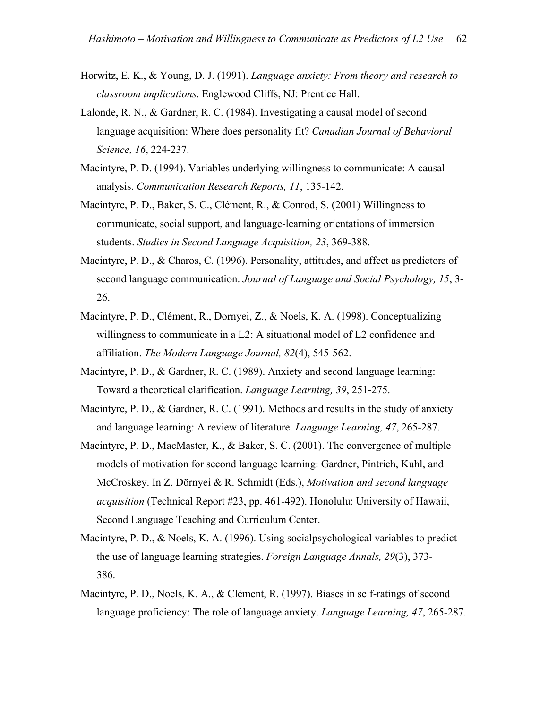- Horwitz, E. K., & Young, D. J. (1991). *Language anxiety: From theory and research to classroom implications*. Englewood Cliffs, NJ: Prentice Hall.
- Lalonde, R. N., & Gardner, R. C. (1984). Investigating a causal model of second language acquisition: Where does personality fit? *Canadian Journal of Behavioral Science, 16*, 224-237.
- Macintyre, P. D. (1994). Variables underlying willingness to communicate: A causal analysis. *Communication Research Reports, 11*, 135-142.
- Macintyre, P. D., Baker, S. C., Clément, R., & Conrod, S. (2001) Willingness to communicate, social support, and language-learning orientations of immersion students. *Studies in Second Language Acquisition, 23*, 369-388.
- Macintyre, P. D., & Charos, C. (1996). Personality, attitudes, and affect as predictors of second language communication. *Journal of Language and Social Psychology, 15*, 3- 26.
- Macintyre, P. D., Clément, R., Dornyei, Z., & Noels, K. A. (1998). Conceptualizing willingness to communicate in a L2: A situational model of L2 confidence and affiliation. *The Modern Language Journal, 82*(4), 545-562.
- Macintyre, P. D., & Gardner, R. C. (1989). Anxiety and second language learning: Toward a theoretical clarification. *Language Learning, 39*, 251-275.
- Macintyre, P. D., & Gardner, R. C. (1991). Methods and results in the study of anxiety and language learning: A review of literature. *Language Learning, 47*, 265-287.
- Macintyre, P. D., MacMaster, K., & Baker, S. C. (2001). The convergence of multiple models of motivation for second language learning: Gardner, Pintrich, Kuhl, and McCroskey. In Z. Dörnyei & R. Schmidt (Eds.), *Motivation and second language acquisition* (Technical Report #23, pp. 461-492). Honolulu: University of Hawaii, Second Language Teaching and Curriculum Center.
- Macintyre, P. D., & Noels, K. A. (1996). Using socialpsychological variables to predict the use of language learning strategies. *Foreign Language Annals, 29*(3), 373- 386.
- Macintyre, P. D., Noels, K. A., & Clément, R. (1997). Biases in self-ratings of second language proficiency: The role of language anxiety. *Language Learning, 47*, 265-287.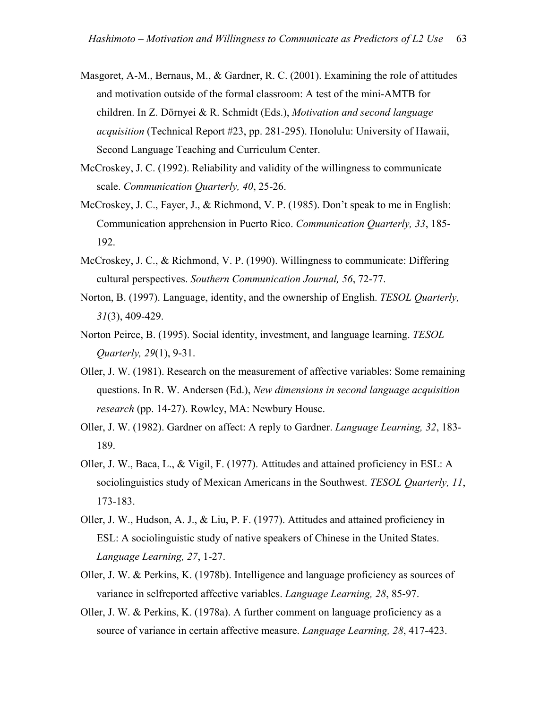- Masgoret, A-M., Bernaus, M., & Gardner, R. C. (2001). Examining the role of attitudes and motivation outside of the formal classroom: A test of the mini-AMTB for children. In Z. Dörnyei & R. Schmidt (Eds.), *Motivation and second language acquisition* (Technical Report #23, pp. 281-295). Honolulu: University of Hawaii, Second Language Teaching and Curriculum Center.
- McCroskey, J. C. (1992). Reliability and validity of the willingness to communicate scale. *Communication Quarterly, 40*, 25-26.
- McCroskey, J. C., Fayer, J., & Richmond, V. P. (1985). Don't speak to me in English: Communication apprehension in Puerto Rico. *Communication Quarterly, 33*, 185- 192.
- McCroskey, J. C., & Richmond, V. P. (1990). Willingness to communicate: Differing cultural perspectives. *Southern Communication Journal, 56*, 72-77.
- Norton, B. (1997). Language, identity, and the ownership of English. *TESOL Quarterly, 31*(3), 409-429.
- Norton Peirce, B. (1995). Social identity, investment, and language learning. *TESOL Quarterly, 29*(1), 9-31.
- Oller, J. W. (1981). Research on the measurement of affective variables: Some remaining questions. In R. W. Andersen (Ed.), *New dimensions in second language acquisition research* (pp. 14-27). Rowley, MA: Newbury House.
- Oller, J. W. (1982). Gardner on affect: A reply to Gardner. *Language Learning, 32*, 183- 189.
- Oller, J. W., Baca, L., & Vigil, F. (1977). Attitudes and attained proficiency in ESL: A sociolinguistics study of Mexican Americans in the Southwest. *TESOL Quarterly, 11*, 173-183.
- Oller, J. W., Hudson, A. J., & Liu, P. F. (1977). Attitudes and attained proficiency in ESL: A sociolinguistic study of native speakers of Chinese in the United States. *Language Learning, 27*, 1-27.
- Oller, J. W. & Perkins, K. (1978b). Intelligence and language proficiency as sources of variance in selfreported affective variables. *Language Learning, 28*, 85-97.
- Oller, J. W. & Perkins, K. (1978a). A further comment on language proficiency as a source of variance in certain affective measure. *Language Learning, 28*, 417-423.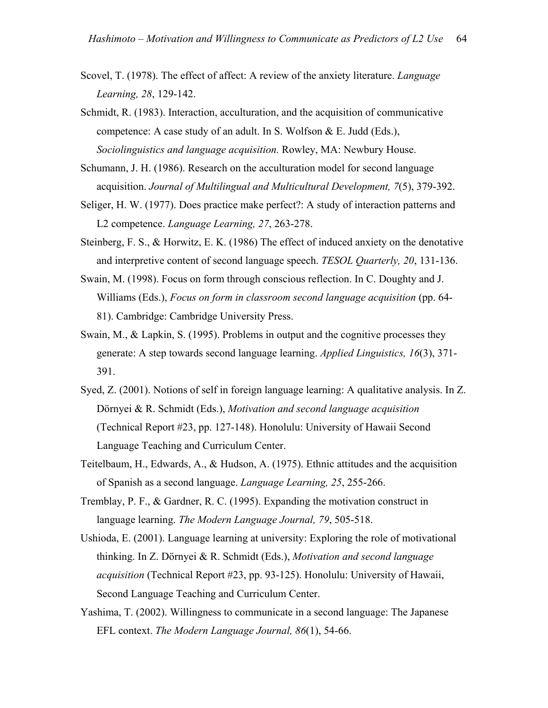- Scovel, T. (1978). The effect of affect: A review of the anxiety literature. *Language Learning, 28*, 129-142.
- Schmidt, R. (1983). Interaction, acculturation, and the acquisition of communicative competence: A case study of an adult. In S. Wolfson & E. Judd (Eds.), *Sociolinguistics and language acquisition.* Rowley, MA: Newbury House.
- Schumann, J. H. (1986). Research on the acculturation model for second language acquisition. *Journal of Multilingual and Multicultural Development, 7*(5), 379-392.
- Seliger, H. W. (1977). Does practice make perfect?: A study of interaction patterns and L2 competence. *Language Learning, 27*, 263-278.
- Steinberg, F. S., & Horwitz, E. K. (1986) The effect of induced anxiety on the denotative and interpretive content of second language speech. *TESOL Quarterly, 20*, 131-136.
- Swain, M. (1998). Focus on form through conscious reflection. In C. Doughty and J. Williams (Eds.), *Focus on form in classroom second language acquisition* (pp. 64- 81). Cambridge: Cambridge University Press.
- Swain, M., & Lapkin, S. (1995). Problems in output and the cognitive processes they generate: A step towards second language learning. *Applied Linguistics, 16*(3), 371- 391.
- Syed, Z. (2001). Notions of self in foreign language learning: A qualitative analysis. In Z. Dörnyei & R. Schmidt (Eds.), *Motivation and second language acquisition* (Technical Report #23, pp. 127-148). Honolulu: University of Hawaii Second Language Teaching and Curriculum Center.
- Teitelbaum, H., Edwards, A., & Hudson, A. (1975). Ethnic attitudes and the acquisition of Spanish as a second language. *Language Learning, 25*, 255-266.
- Tremblay, P. F., & Gardner, R. C. (1995). Expanding the motivation construct in language learning. *The Modern Language Journal, 79*, 505-518.
- Ushioda, E. (2001). Language learning at university: Exploring the role of motivational thinking. In Z. Dörnyei & R. Schmidt (Eds.), *Motivation and second language acquisition* (Technical Report #23, pp. 93-125). Honolulu: University of Hawaii, Second Language Teaching and Curriculum Center.
- Yashima, T. (2002). Willingness to communicate in a second language: The Japanese EFL context. *The Modern Language Journal, 86*(1), 54-66.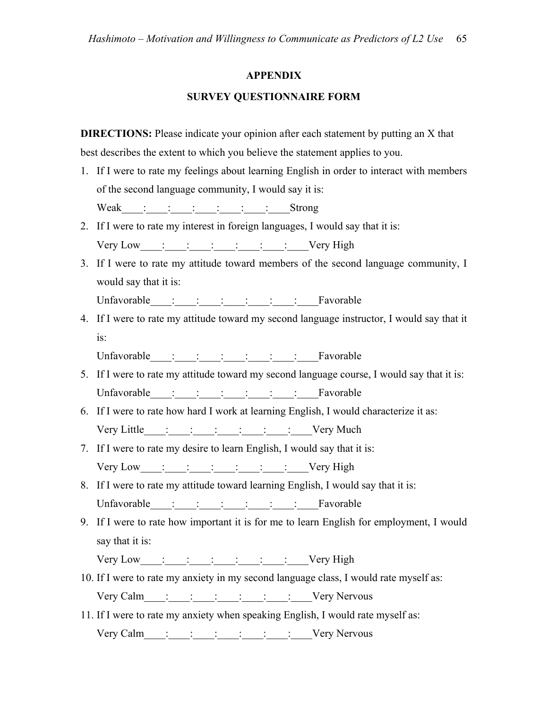# **APPENDIX**

# **SURVEY QUESTIONNAIRE FORM**

**DIRECTIONS:** Please indicate your opinion after each statement by putting an X that best describes the extent to which you believe the statement applies to you.

- 1. If I were to rate my feelings about learning English in order to interact with members of the second language community, I would say it is: Weak : : : : : : : Strong
- 2. If I were to rate my interest in foreign languages, I would say that it is: Very Low : : : : : : : : Very High
- 3. If I were to rate my attitude toward members of the second language community, I would say that it is:

Unfavorable : : : : : : Favorable

4. If I were to rate my attitude toward my second language instructor, I would say that it is:

Unfavorable\_\_\_\_:\_\_\_\_:\_\_\_\_:\_\_\_\_:\_\_\_\_:\_\_\_\_:\_\_\_\_Favorable

- 5. If I were to rate my attitude toward my second language course, I would say that it is: Unfavorable : : : : : : Favorable
- 6. If I were to rate how hard I work at learning English, I would characterize it as: Very Little  $\vdots$   $\vdots$   $\vdots$   $\vdots$   $\vdots$   $\vdots$   $\vdots$   $\vdots$   $\vdots$   $\vdots$   $\vdots$   $\vdots$   $\vdots$   $\vdots$   $\vdots$   $\vdots$   $\vdots$   $\vdots$   $\vdots$   $\vdots$   $\vdots$   $\vdots$   $\vdots$   $\vdots$   $\vdots$   $\vdots$   $\vdots$   $\vdots$   $\vdots$   $\vdots$   $\vdots$   $\vdots$   $\vdots$   $\vdots$   $\vdots$
- 7. If I were to rate my desire to learn English, I would say that it is: Very Low : : : : : : : : Very High
- 8. If I were to rate my attitude toward learning English, I would say that it is: Unfavorable  $\vdots \qquad \vdots \qquad \vdots$
- 9. If I were to rate how important it is for me to learn English for employment, I would say that it is:

Very Low : : : : : : : : Very High

- 10. If I were to rate my anxiety in my second language class, I would rate myself as: Very Calm\_\_\_\_:\_\_\_\_:\_\_\_\_:\_\_\_\_:\_\_\_\_:\_\_\_\_:\_\_\_\_Very Nervous
- 11. If I were to rate my anxiety when speaking English, I would rate myself as: Very Calm\_\_\_\_:\_\_\_\_:\_\_\_\_:\_\_\_\_:\_\_\_\_:\_\_\_\_:\_\_\_\_Very Nervous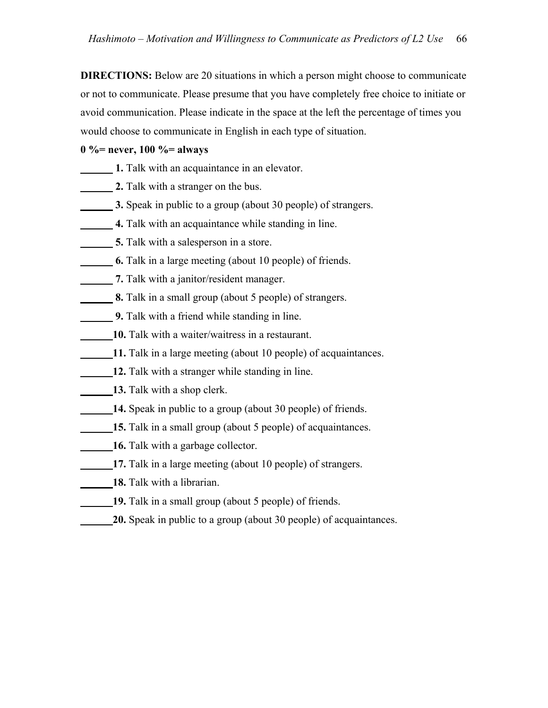**DIRECTIONS:** Below are 20 situations in which a person might choose to communicate or not to communicate. Please presume that you have completely free choice to initiate or avoid communication. Please indicate in the space at the left the percentage of times you would choose to communicate in English in each type of situation.

# **0 %= never, 100 %= always**

- **1.** Talk with an acquaintance in an elevator.
- **2.** Talk with a stranger on the bus.
- **3.** Speak in public to a group (about 30 people) of strangers.
- **4.** Talk with an acquaintance while standing in line.
- **5.** Talk with a salesperson in a store.
- **6.** Talk in a large meeting (about 10 people) of friends.
- *1. Talk with a janitor/resident manager.*
- **8.** Talk in a small group (about 5 people) of strangers.
- **9.** Talk with a friend while standing in line.
- **10.** Talk with a waiter/waitress in a restaurant.
- **11.** Talk in a large meeting (about 10 people) of acquaintances.
- **12.** Talk with a stranger while standing in line.
- 13. Talk with a shop clerk.
- 14. Speak in public to a group (about 30 people) of friends.
- **15.** Talk in a small group (about 5 people) of acquaintances.
- **16.** Talk with a garbage collector.
- 17. Talk in a large meeting (about 10 people) of strangers.
- **18.** Talk with a librarian.
- 19. Talk in a small group (about 5 people) of friends.
	- **20.** Speak in public to a group (about 30 people) of acquaintances.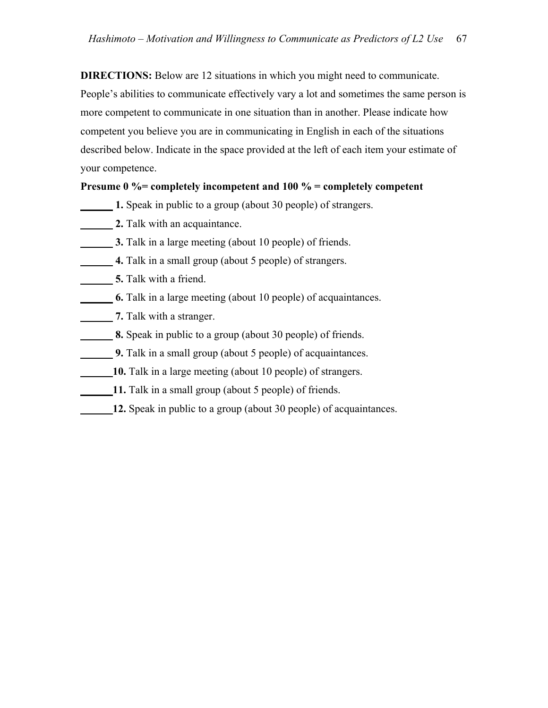**DIRECTIONS:** Below are 12 situations in which you might need to communicate. People's abilities to communicate effectively vary a lot and sometimes the same person is more competent to communicate in one situation than in another. Please indicate how competent you believe you are in communicating in English in each of the situations described below. Indicate in the space provided at the left of each item your estimate of your competence.

# **Presume 0 %= completely incompetent and 100 % = completely competent**

- **1.** Speak in public to a group (about 30 people) of strangers.
- **2.** Talk with an acquaintance.
- **3.** Talk in a large meeting (about 10 people) of friends.
- **4.** Talk in a small group (about 5 people) of strangers.
- **<u>5. Talk</u>** with a friend.
- **6.** Talk in a large meeting (about 10 people) of acquaintances.
- *<u>1. Is note</u>* **7.** Talk with a stranger.
- **8.** Speak in public to a group (about 30 people) of friends.
- **9.** Talk in a small group (about 5 people) of acquaintances.
- **10.** Talk in a large meeting (about 10 people) of strangers.
- **11.** Talk in a small group (about 5 people) of friends.
- **12.** Speak in public to a group (about 30 people) of acquaintances.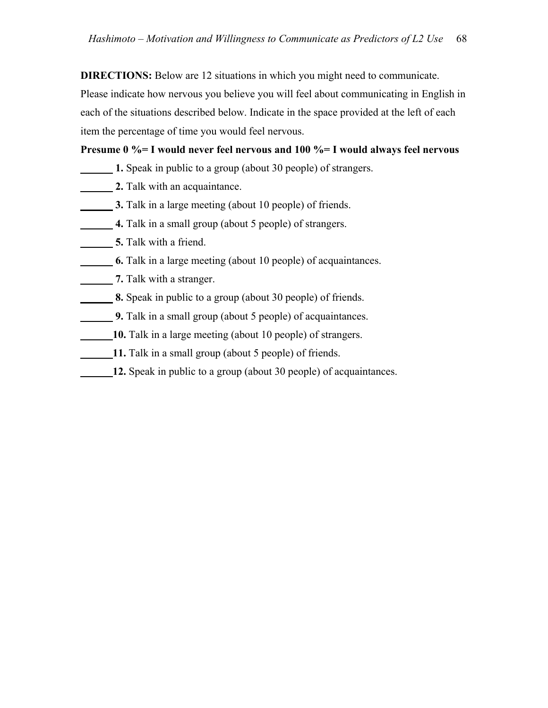**DIRECTIONS:** Below are 12 situations in which you might need to communicate. Please indicate how nervous you believe you will feel about communicating in English in each of the situations described below. Indicate in the space provided at the left of each item the percentage of time you would feel nervous.

# **Presume 0 %= I would never feel nervous and 100 %= I would always feel nervous**

- **1.** Speak in public to a group (about 30 people) of strangers.
- **2.** Talk with an acquaintance.
- **3.** Talk in a large meeting (about 10 people) of friends.
- **4.** Talk in a small group (about 5 people) of strangers.
- **5.** Talk with a friend.
- **6.** Talk in a large meeting (about 10 people) of acquaintances.
- *1.* Talk with a stranger.
- **8.** Speak in public to a group (about 30 people) of friends.
- **9.** Talk in a small group (about 5 people) of acquaintances.
- **10.** Talk in a large meeting (about 10 people) of strangers.
- **11.** Talk in a small group (about 5 people) of friends.
- **12.** Speak in public to a group (about 30 people) of acquaintances.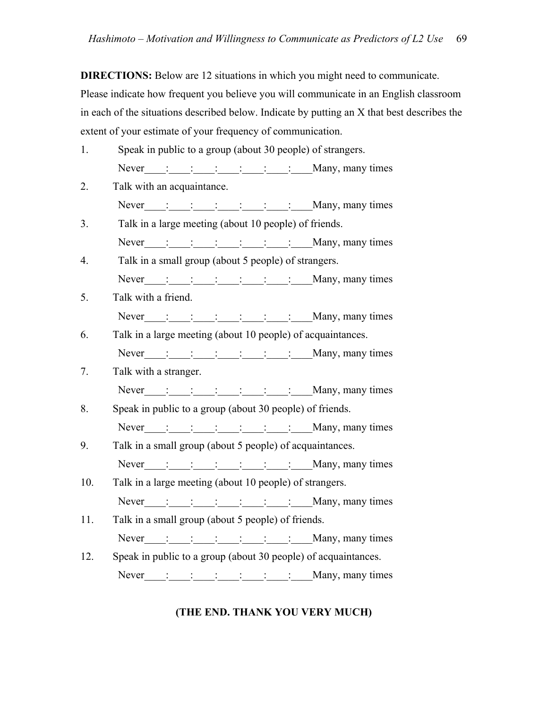**DIRECTIONS:** Below are 12 situations in which you might need to communicate. Please indicate how frequent you believe you will communicate in an English classroom in each of the situations described below. Indicate by putting an X that best describes the extent of your estimate of your frequency of communication.

- 1. Speak in public to a group (about 30 people) of strangers. Never  $\vdots$   $\vdots$   $\vdots$   $\vdots$   $\vdots$   $\vdots$   $\vdots$   $\vdots$   $\vdots$   $\vdots$   $\vdots$   $\vdots$   $\vdots$   $\vdots$   $\vdots$   $\vdots$   $\vdots$   $\vdots$   $\vdots$   $\vdots$   $\vdots$   $\vdots$   $\vdots$   $\vdots$   $\vdots$   $\vdots$   $\vdots$   $\vdots$   $\vdots$   $\vdots$   $\vdots$   $\vdots$   $\vdots$   $\vdots$   $\vdots$   $\vdots$
- 2. Talk with an acquaintance. Never  $\vdots$   $\vdots$   $\vdots$   $\vdots$   $\vdots$   $\vdots$   $\vdots$   $\vdots$   $\vdots$   $\vdots$   $\vdots$   $\vdots$   $\vdots$   $\vdots$   $\vdots$   $\vdots$   $\vdots$   $\vdots$   $\vdots$   $\vdots$   $\vdots$   $\vdots$   $\vdots$   $\vdots$   $\vdots$   $\vdots$   $\vdots$   $\vdots$   $\vdots$   $\vdots$   $\vdots$   $\vdots$   $\vdots$   $\vdots$   $\vdots$   $\vdots$
- 3. Talk in a large meeting (about 10 people) of friends. Never  $\vdots$   $\vdots$   $\vdots$   $\vdots$   $\vdots$   $\vdots$   $\vdots$   $\vdots$   $\vdots$   $\vdots$   $\vdots$   $\vdots$   $\vdots$   $\vdots$   $\vdots$   $\vdots$   $\vdots$   $\vdots$   $\vdots$   $\vdots$   $\vdots$   $\vdots$   $\vdots$   $\vdots$   $\vdots$   $\vdots$   $\vdots$   $\vdots$   $\vdots$   $\vdots$   $\vdots$   $\vdots$   $\vdots$   $\vdots$   $\vdots$   $\vdots$
- 4. Talk in a small group (about 5 people) of strangers. Never : : : : : : : Many, many times
- 5. Talk with a friend. Never  $\vdots$   $\vdots$   $\vdots$   $\vdots$   $\vdots$   $\vdots$   $\vdots$   $\vdots$   $\vdots$   $\vdots$   $\vdots$   $\vdots$   $\vdots$   $\vdots$   $\vdots$   $\vdots$   $\vdots$   $\vdots$   $\vdots$   $\vdots$   $\vdots$   $\vdots$   $\vdots$   $\vdots$   $\vdots$   $\vdots$   $\vdots$   $\vdots$   $\vdots$   $\vdots$   $\vdots$   $\vdots$   $\vdots$   $\vdots$   $\vdots$   $\vdots$
- 6. Talk in a large meeting (about 10 people) of acquaintances. Never  $\vdots$   $\vdots$   $\vdots$   $\vdots$   $\vdots$   $\vdots$   $\vdots$   $\vdots$   $\vdots$   $\vdots$   $\vdots$   $\vdots$   $\vdots$   $\vdots$   $\vdots$   $\vdots$   $\vdots$   $\vdots$   $\vdots$   $\vdots$   $\vdots$   $\vdots$   $\vdots$   $\vdots$   $\vdots$   $\vdots$   $\vdots$   $\vdots$   $\vdots$   $\vdots$   $\vdots$   $\vdots$   $\vdots$   $\vdots$   $\vdots$   $\vdots$
- 7. Talk with a stranger.
- Never  $\vdots$   $\vdots$   $\vdots$   $\vdots$   $\vdots$   $\vdots$   $\vdots$   $\vdots$   $\vdots$   $\vdots$   $\vdots$   $\vdots$   $\vdots$   $\vdots$   $\vdots$   $\vdots$   $\vdots$   $\vdots$   $\vdots$   $\vdots$   $\vdots$   $\vdots$   $\vdots$   $\vdots$   $\vdots$   $\vdots$   $\vdots$   $\vdots$   $\vdots$   $\vdots$   $\vdots$   $\vdots$   $\vdots$   $\vdots$   $\vdots$   $\vdots$ 8. Speak in public to a group (about 30 people) of friends.
- Never  $\vdots$   $\vdots$   $\vdots$   $\vdots$   $\vdots$   $\vdots$   $\vdots$   $\vdots$   $\vdots$   $\vdots$   $\vdots$   $\vdots$   $\vdots$   $\vdots$   $\vdots$   $\vdots$   $\vdots$   $\vdots$   $\vdots$   $\vdots$   $\vdots$   $\vdots$   $\vdots$   $\vdots$   $\vdots$   $\vdots$   $\vdots$   $\vdots$   $\vdots$   $\vdots$   $\vdots$   $\vdots$   $\vdots$   $\vdots$   $\vdots$   $\vdots$
- 9. Talk in a small group (about 5 people) of acquaintances. Never : : : : : : : Many, many times
- 10. Talk in a large meeting (about 10 people) of strangers. Never  $\frac{1}{\frac{1}{\sqrt{1-\frac{1}{\sqrt{1-\frac{1}{\sqrt{1-\frac{1}{\sqrt{1-\frac{1}{\sqrt{1-\frac{1}{\sqrt{1-\frac{1}{\sqrt{1-\frac{1}{\sqrt{1-\frac{1}{\sqrt{1-\frac{1}{\sqrt{1-\frac{1}{\sqrt{1-\frac{1}{\sqrt{1-\frac{1}{\sqrt{1-\frac{1}{\sqrt{1-\frac{1}{\sqrt{1-\frac{1}{\sqrt{1-\frac{1}{\sqrt{1-\frac{1}{\sqrt{1-\frac{1}{\sqrt{1-\frac{1}{\sqrt{1-\frac{1}{\sqrt{1-\frac{1}{\sqrt{1-\frac{1}{\sqrt{1-\frac$
- 11. Talk in a small group (about 5 people) of friends. Never  $\vdots$   $\vdots$   $\vdots$   $\vdots$   $\vdots$   $\vdots$   $\vdots$   $\vdots$   $\vdots$   $\vdots$   $\vdots$   $\vdots$   $\vdots$   $\vdots$   $\vdots$   $\vdots$   $\vdots$   $\vdots$   $\vdots$   $\vdots$   $\vdots$   $\vdots$   $\vdots$   $\vdots$   $\vdots$   $\vdots$   $\vdots$   $\vdots$   $\vdots$   $\vdots$   $\vdots$   $\vdots$   $\vdots$   $\vdots$   $\vdots$   $\vdots$
- 12. Speak in public to a group (about 30 people) of acquaintances. Never  $\vdots$   $\vdots$   $\vdots$   $\vdots$   $\vdots$   $\vdots$   $\vdots$   $\vdots$   $\vdots$   $\vdots$   $\vdots$   $\vdots$   $\vdots$   $\vdots$   $\vdots$   $\vdots$   $\vdots$   $\vdots$   $\vdots$   $\vdots$   $\vdots$   $\vdots$   $\vdots$   $\vdots$   $\vdots$   $\vdots$   $\vdots$   $\vdots$   $\vdots$   $\vdots$   $\vdots$   $\vdots$   $\vdots$   $\vdots$   $\vdots$   $\vdots$

# **(THE END. THANK YOU VERY MUCH)**